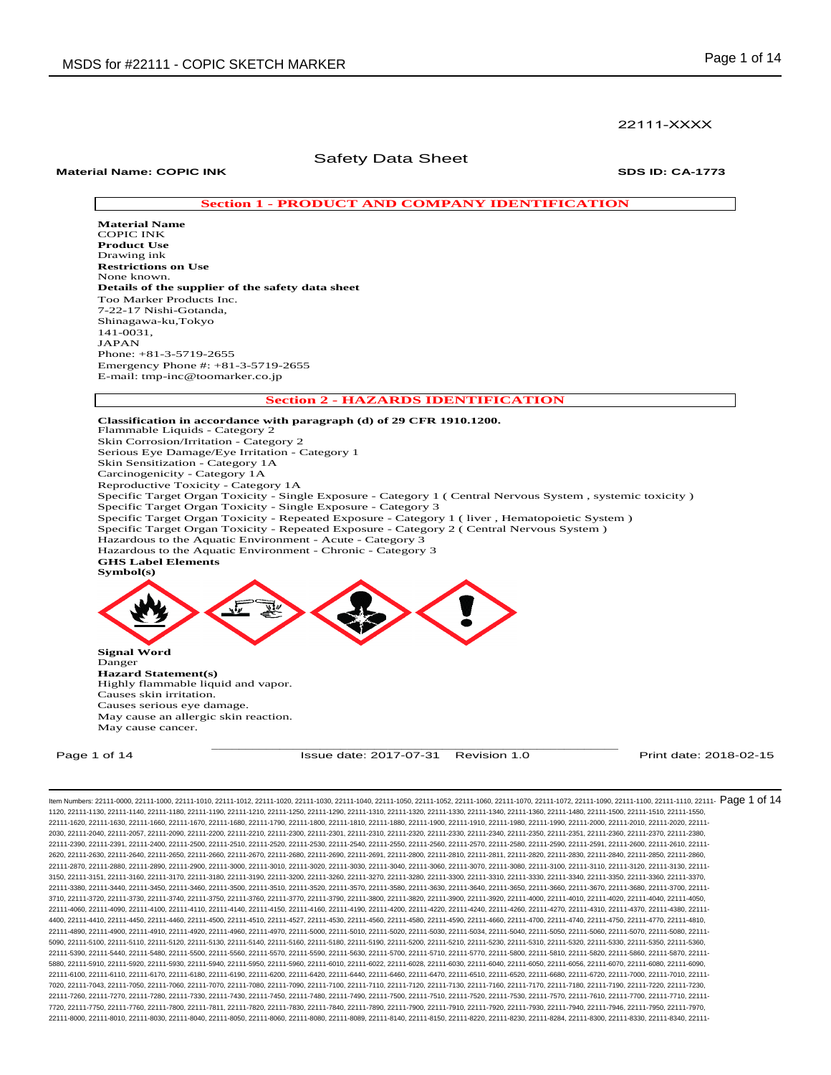## 22111-XXXX

## Safety Data Sheet

## **Material Name: COPIC INK SDS ID: CA-1773**

## **Section 1 - PRODUCT AND COMPANY IDENTIFICATION**

**Material Name**  COPIC INK **Product Use**  Drawing ink **Restrictions on Use**  None known. **Details of the supplier of the safety data sheet**  Too Marker Products Inc. 7-22-17 Nishi-Gotanda, Shinagawa-ku,Tokyo 141-0031, JAPAN Phone: +81-3-5719-2655 Emergency Phone #: +81-3-5719-2655 E-mail: tmp-inc@toomarker.co.jp

**Section 2 - HAZARDS IDENTIFICATION** 

**Classification in accordance with paragraph (d) of 29 CFR 1910.1200.**  Flammable Liquids - Category 2 Skin Corrosion/Irritation - Category 2 Serious Eye Damage/Eye Irritation - Category 1 Skin Sensitization - Category 1A Carcinogenicity - Category 1A Reproductive Toxicity - Category 1A Specific Target Organ Toxicity - Single Exposure - Category 1 ( Central Nervous System , systemic toxicity ) Specific Target Organ Toxicity - Single Exposure - Category 3 Specific Target Organ Toxicity - Repeated Exposure - Category 1 ( liver , Hematopoietic System ) Specific Target Organ Toxicity - Repeated Exposure - Category 2 ( Central Nervous System ) Hazardous to the Aquatic Environment - Acute - Category 3 Hazardous to the Aquatic Environment - Chronic - Category 3 **GHS Label Elements Symbol(s) Signal Word**  Danger **Hazard Statement(s)**  Highly flammable liquid and vapor. Causes skin irritation. Causes serious eye damage. May cause an allergic skin reaction. May cause cancer.

\_\_\_\_\_\_\_\_\_\_\_\_\_\_\_\_\_\_\_\_\_\_\_\_\_\_\_\_\_\_\_\_\_\_\_\_\_\_\_\_\_\_\_\_\_\_\_\_\_\_\_\_\_\_\_\_\_\_\_\_ Page 1 of 14 **ISSUE date: 2017-07-31** Revision 1.0 **Print date: 2018-02-15** Print date: 2018-02-15

ltem Numbers: 22111-0000, 22111-1000, 22111-1010, 22111-1012, 22111-1020, 22111-1030, 22111-1040, 22111-1050, 22111-1050, 22111-1000, 22111-1000, 22111-1000, 22111-1000, 22111-1100, 22111-1110, 22111-100, 22111-100, 22111-1120, 22111-1130, 22111-1140, 22111-1180, 22111-1190, 22111-1210, 22111-1250, 22111-1290, 22111-1310, 22111-1320, 22111-1330, 22111-1340, 22111-1360, 22111-1480, 22111-1500, 22111-1510, 22111-1550, 22111-1620, 22111-1630, 22111-1660, 22111-1670, 22111-1680, 22111-1790, 22111-1800, 22111-1810, 22111-1880, 22111-1900, 22111-1910, 22111-1980, 22111-1990, 22111-2000, 22111-2010, 22111-2020, 22111- 2030, 22111-2040, 22111-2057, 22111-2090, 22111-2200, 22111-2210, 22111-2300, 22111-2301, 22111-2310, 22111-2320, 22111-2330, 22111-2340, 22111-2350, 22111-2351, 22111-2360, 22111-2370, 22111-2380, 22111-2390, 22111-2391, 22111-2400, 22111-2500, 22111-2510, 22111-2520, 22111-2530, 22111-2540, 22111-2550, 22111-2560, 22111-2570, 22111-2580, 22111-2590, 22111-2591, 22111-2600, 22111-2610, 22111- 2620, 22111-2630, 22111-2640, 22111-2650, 22111-2660, 22111-2670, 22111-2680, 22111-2690, 22111-2691, 22111-2800, 22111-2810, 22111-2811, 22111-2820, 22111-2830, 22111-2840, 22111-2850, 22111-2860, 22111-2870, 22111-2880, 22111-2890, 22111-2900, 22111-3000, 22111-3010, 22111-3020, 22111-3030, 22111-3040, 22111-3060, 22111-3070, 22111-3080, 22111-3100, 22111-3110, 22111-3120, 22111-3130, 22111- 3150, 22111-3151, 22111-3160, 22111-3170, 22111-3180, 22111-3190, 22111-3200, 22111-3260, 22111-3270, 22111-3280, 22111-3300, 22111-3310, 22111-3330, 22111-3340, 22111-3350, 22111-3360, 22111-3370, 22111-3380, 22111-3440, 22111-3450, 22111-3460, 22111-3500, 22111-3510, 22111-3520, 22111-3570, 22111-3580, 22111-3630, 22111-3640, 22111-3650, 22111-3660, 22111-3670, 22111-3680, 22111-3700, 22111- 3710, 22111-3720, 22111-3730, 22111-3740, 22111-3750, 22111-3760, 22111-3770, 22111-3790, 22111-3800, 22111-3820, 22111-3900, 22111-3920, 22111-4000, 22111-4010, 22111-4020, 22111-4040, 22111-4050, 22111-4060, 22111-4090, 22111-4100, 22111-4110, 22111-4140, 22111-4150, 22111-4160, 22111-4190, 22111-4200, 22111-4220, 22111-4240, 22111-4260, 22111-4270, 22111-4310, 22111-4370, 22111-4380, 22111- 4400, 22111-4410, 22111-4450, 22111-4460, 22111-4500, 22111-4510, 22111-4527, 22111-4530, 22111-4560, 22111-4580, 22111-4590, 22111-4660, 22111-4700, 22111-4740, 22111-4750, 22111-4770, 22111-4810, 22111-4890, 22111-4900, 22111-4910, 22111-4920, 22111-4960, 22111-4970, 22111-5000, 22111-5010, 22111-5020, 22111-5030, 22111-5034, 22111-5040, 22111-5050, 22111-5060, 22111-5070, 22111-5080, 22111- 5090, 22111-5100, 22111-5110, 22111-5120, 22111-5130, 22111-5140, 22111-5160, 22111-5180, 22111-5180, 22111-5200, 22111-5210, 22111-5230, 22111-5330, 22111-5330, 22111-5330, 22111-5330, 22111-5330, 22111-5380, 22111-5380, 2 22111-5390, 22111-5440, 22111-5480, 22111-5500, 22111-5560, 22111-5570, 22111-5590, 22111-5630, 22111-5700, 22111-5710, 22111-5770, 22111-5800, 22111-5810, 22111-5820, 22111-5860, 22111-5870, 22111- 5880, 22111-5910, 22111-5920, 22111-5930, 22111-5940, 22111-5950, 22111-5960, 22111-6010, 22111-6022, 22111-6028, 22111-6030, 22111-6040, 22111-6050, 22111-6056, 22111-6070, 22111-6080, 22111-6090, 22111-6100, 22111-6110, 22111-6170, 22111-6180, 22111-6190, 22111-6200, 22111-6420, 22111-6440, 22111-6460, 22111-6470, 22111-6510, 22111-6520, 22111-6680, 22111-6720, 22111-7000, 22111-7010, 22111- 7020, 22111-7043, 22111-7050, 22111-7060, 22111-7070, 22111-7080, 22111-7090, 22111-7100, 22111-7110, 22111-7120, 22111-7130, 22111-7160, 22111-7170, 22111-7180, 22111-7190, 22111-7220, 22111-7230, 22111-7260, 22111-7270, 22111-7280, 22111-7330, 22111-7430, 22111-7450, 22111-7480, 22111-7490, 22111-7500, 22111-7510, 22111-7520, 22111-7530, 22111-7570, 22111-7610, 22111-7700, 22111-7710, 22111- 7720, 22111-7750, 22111-7760, 22111-7800, 22111-7811, 22111-7820, 22111-7830, 22111-7840, 22111-7890, 22111-7900, 22111-7910, 22111-7920, 22111-7930, 22111-7940, 22111-7946, 22111-7950, 22111-7970, 22111-8000, 22111-8010, 22111-8030, 22111-8040, 22111-8050, 22111-8060, 22111-8080, 22111-8089, 22111-8140, 22111-8150, 22111-8220, 22111-8230, 22111-8284, 22111-8300, 22111-8330, 22111-8340, 22111-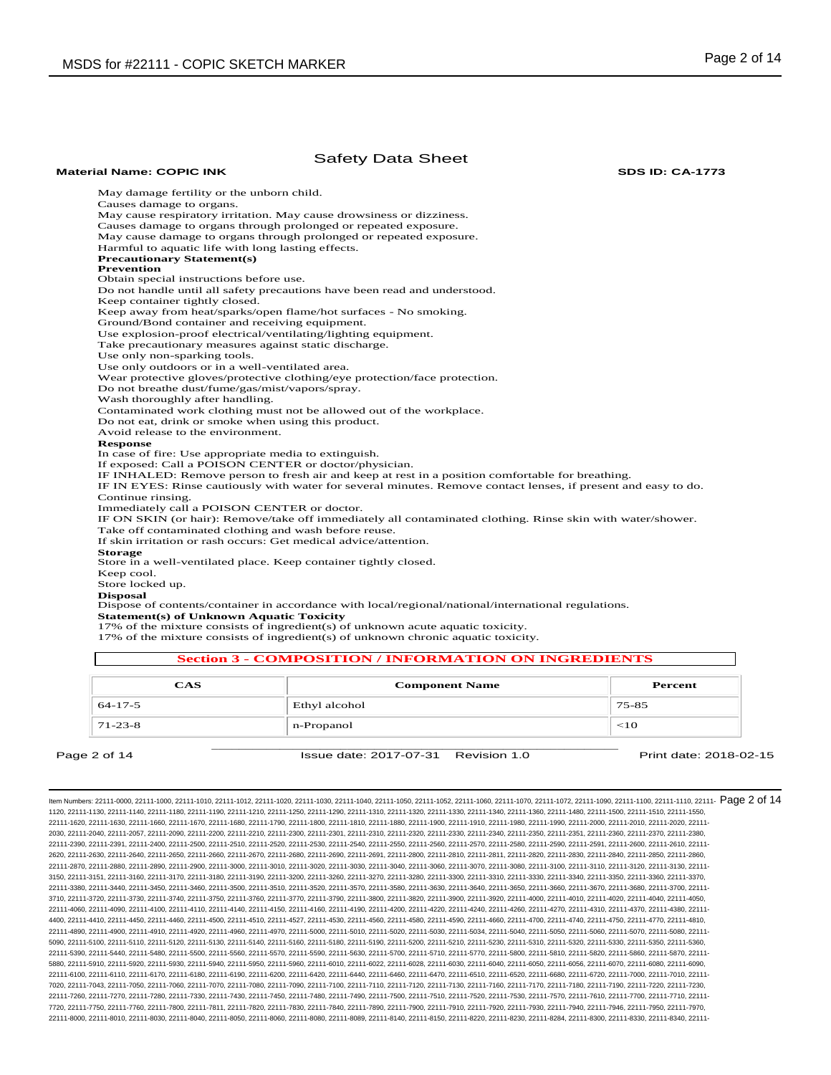#### Safety Data Sheet **Material Name: COPIC INK SDS ID: CA-1773** May damage fertility or the unborn child. Causes damage to organs. May cause respiratory irritation. May cause drowsiness or dizziness. Causes damage to organs through prolonged or repeated exposure. May cause damage to organs through prolonged or repeated exposure. Harmful to aquatic life with long lasting effects. **Precautionary Statement(s) Prevention**  Obtain special instructions before use. Do not handle until all safety precautions have been read and understood. Keep container tightly closed. Keep away from heat/sparks/open flame/hot surfaces - No smoking. Ground/Bond container and receiving equipment. Use explosion-proof electrical/ventilating/lighting equipment. Take precautionary measures against static discharge. Use only non-sparking tools. Use only outdoors or in a well-ventilated area. Wear protective gloves/protective clothing/eye protection/face protection. Do not breathe dust/fume/gas/mist/vapors/spray. Wash thoroughly after handling. Contaminated work clothing must not be allowed out of the workplace. Do not eat, drink or smoke when using this product. Avoid release to the environment. **Response**  In case of fire: Use appropriate media to extinguish. If exposed: Call a POISON CENTER or doctor/physician. IF INHALED: Remove person to fresh air and keep at rest in a position comfortable for breathing. IF IN EYES: Rinse cautiously with water for several minutes. Remove contact lenses, if present and easy to do. Continue rinsing. Immediately call a POISON CENTER or doctor. IF ON SKIN (or hair): Remove/take off immediately all contaminated clothing. Rinse skin with water/shower. Take off contaminated clothing and wash before reuse. If skin irritation or rash occurs: Get medical advice/attention. **Storage**  Store in a well-ventilated place. Keep container tightly closed. Keep cool. Store locked up. **Disposal**  Dispose of contents/container in accordance with local/regional/national/international regulations. **Statement(s) of Unknown Aquatic Toxicity**  17% of the mixture consists of ingredient(s) of unknown acute aquatic toxicity.

17% of the mixture consists of ingredient(s) of unknown chronic aquatic toxicity.

# **Section 3 - COMPOSITION / INFORMATION ON INGREDIENTS**

| <b>CAS</b>    | <b>Component Name</b> | Percent   |
|---------------|-----------------------|-----------|
| $64 - 17 - 5$ | Ethyl alcohol         | $75 - 85$ |
| $71-23-8$     | n-Propanol            | $<$ 10    |
|               |                       |           |

Page 2 of 14 **ISSue date: 2017-07-31** Revision 1.0 **Print date: 2018-02-15** Print date: 2018-02-15

ltem Numbers: 22111-0000, 22111-1000, 22111-1010, 22111-1012, 22111-1020, 22111-1030, 22111-1040, 22111-1050, 22111-1050, 22111-1000, 22111-1000, 22111-1000, 22111-1000, 22111-1100, 22111-110, 22111-100, 22111-100, 22111-1 1120, 22111-1130, 22111-1140, 22111-1180, 22111-1190, 22111-1210, 22111-1250, 22111-1290, 22111-1310, 22111-1320, 22111-1330, 22111-1340, 22111-1360, 22111-1480, 22111-1500, 22111-1510, 22111-1550, 22111-1620, 22111-1630, 22111-1660, 22111-1670, 22111-1680, 22111-1790, 22111-1800, 22111-1810, 22111-1880, 22111-1900, 22111-1910, 22111-1980, 22111-1990, 22111-2000, 22111-2010, 22111-2020, 22111- 2030, 22111-2040, 22111-2057, 22111-2090, 22111-2200, 22111-2210, 22111-2300, 22111-2301, 22111-2310, 22111-2320, 22111-2330, 22111-2340, 22111-2350, 22111-2351, 22111-2360, 22111-2370, 22111-2380, 22111-2390, 22111-2391, 22111-2400, 22111-2500, 22111-2510, 22111-2520, 22111-2530, 22111-2540, 22111-2550, 22111-2560, 22111-2570, 22111-2580, 22111-2590, 22111-2591, 22111-2600, 22111-2610, 22111- 2620, 22111-2630, 22111-2640, 22111-2650, 22111-2660, 22111-2670, 22111-2680, 22111-2690, 22111-2691, 22111-2800, 22111-2810, 22111-2811, 22111-2820, 22111-2830, 22111-2840, 22111-2850, 22111-2860, 22111-2870, 22111-2880, 22111-2890, 22111-2900, 22111-3000, 22111-3010, 22111-3020, 22111-3030, 22111-3040, 22111-3060, 22111-3070, 22111-3080, 22111-3100, 22111-3110, 22111-3120, 22111-3130, 22111- 3150, 22111-3151, 22111-3160, 22111-3170, 22111-3180, 22111-3190, 22111-3200, 22111-3260, 22111-3270, 22111-3280, 22111-3300, 22111-3310, 22111-3330, 22111-3340, 22111-3350, 22111-3360, 22111-3370, 22111-3380, 22111-3440, 22111-3450, 22111-3460, 22111-3500, 22111-3510, 22111-3520, 22111-3570, 22111-3580, 22111-3630, 22111-3640, 22111-3650, 22111-3660, 22111-3670, 22111-3680, 22111-3700, 22111- 3710, 22111-3720, 22111-3730, 22111-3740, 22111-3750, 22111-3760, 22111-3770, 22111-3790, 22111-3800, 22111-3820, 22111-3900, 22111-3920, 22111-4000, 22111-4010, 22111-4020, 22111-4040, 22111-4050, 22111-4060, 22111-4090, 22111-4100, 22111-4110, 22111-4140, 22111-4150, 22111-4160, 22111-4190, 22111-4200, 22111-4220, 22111-4240, 22111-4260, 22111-4270, 22111-4310, 22111-4370, 22111-4380, 22111- 4400, 22111-4410, 22111-4450, 22111-4460, 22111-4500, 22111-4510, 22111-4527, 22111-4530, 22111-4560, 22111-4580, 22111-4590, 22111-4660, 22111-4700, 22111-4740, 22111-4750, 22111-4770, 22111-4810, 22111-4890, 22111-4900, 22111-4910, 22111-4920, 22111-4960, 22111-4970, 22111-5000, 22111-5010, 22111-5020, 22111-5030, 22111-5034, 22111-5040, 22111-5050, 22111-5060, 22111-5070, 22111-5080, 22111- 5090, 22111-5100, 22111-5110, 22111-5120, 22111-5130, 22111-5140, 22111-5160, 22111-5180, 22111-5180, 22111-5200, 22111-5210, 22111-5230, 22111-5330, 22111-5330, 22111-5330, 22111-5330, 22111-5330, 22111-5380, 22111-5380, 2 22111-5390, 22111-5440, 22111-5480, 22111-5500, 22111-5560, 22111-5570, 22111-5590, 22111-5630, 22111-5700, 22111-5710, 22111-5770, 22111-5800, 22111-5810, 22111-5820, 22111-5860, 22111-5870, 22111- 5880, 22111-5910, 22111-5920, 22111-5930, 22111-5940, 22111-5950, 22111-5960, 22111-6010, 22111-6022, 22111-6028, 22111-6030, 22111-6040, 22111-6050, 22111-6056, 22111-6070, 22111-6080, 22111-6090, 22111-6100, 22111-6110, 22111-6170, 22111-6180, 22111-6190, 22111-6200, 22111-6420, 22111-6440, 22111-6460, 22111-6470, 22111-6510, 22111-6520, 22111-6680, 22111-6720, 22111-7000, 22111-7010, 22111- 7020, 22111-7043, 22111-7050, 22111-7060, 22111-7070, 22111-7080, 22111-7090, 22111-7100, 22111-7110, 22111-7120, 22111-7130, 22111-7160, 22111-7170, 22111-7180, 22111-7190, 22111-7220, 22111-7230, 22111-7260, 22111-7270, 22111-7280, 22111-7330, 22111-7430, 22111-7450, 22111-7480, 22111-7490, 22111-7500, 22111-7510, 22111-7520, 22111-7530, 22111-7570, 22111-7610, 22111-7700, 22111-7710, 22111- 7720, 22111-7750, 22111-7760, 22111-7800, 22111-7811, 22111-7820, 22111-7830, 22111-7840, 22111-7890, 22111-7900, 22111-7910, 22111-7920, 22111-7930, 22111-7940, 22111-7946, 22111-7950, 22111-7970, 22111-8000, 22111-8010, 22111-8030, 22111-8040, 22111-8050, 22111-8060, 22111-8080, 22111-8089, 22111-8140, 22111-8150, 22111-8220, 22111-8230, 22111-8284, 22111-8300, 22111-8330, 22111-8340, 22111-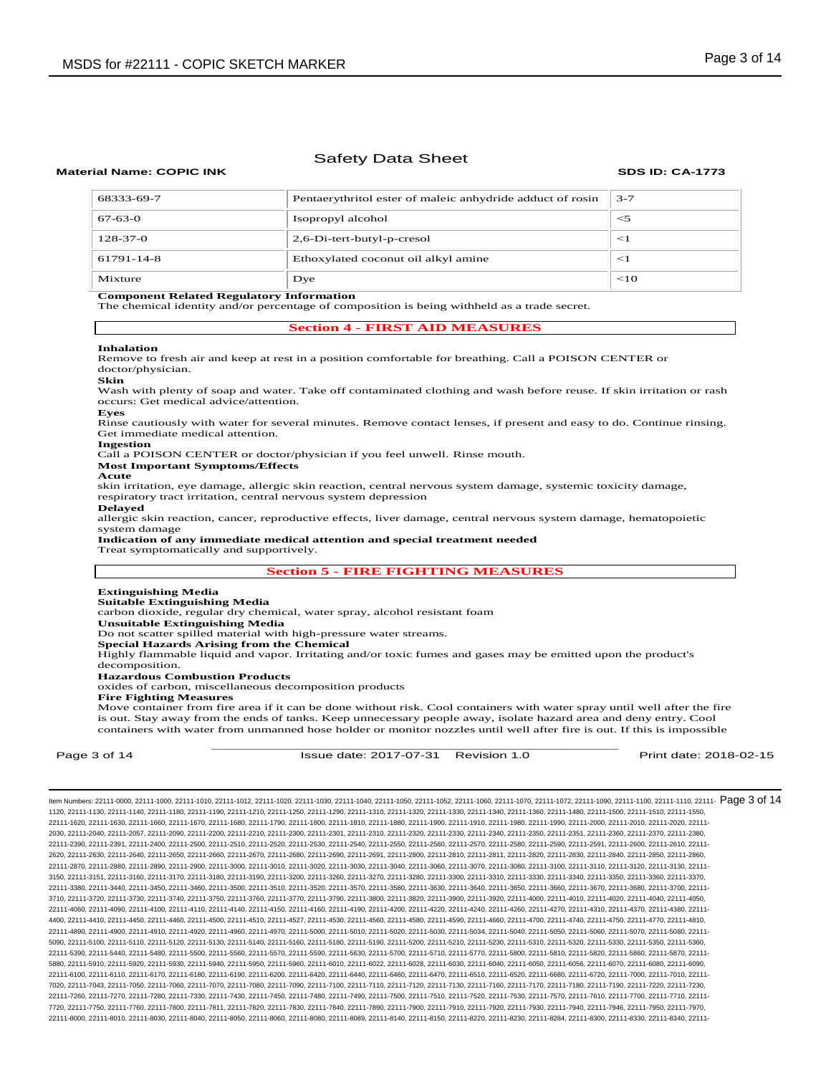## **Material Name: COPIC INK SDS ID: CA-1773**

| 68333-69-7     | Pentaerythritol ester of maleic anhydride adduct of rosin | $3 - 7$ |
|----------------|-----------------------------------------------------------|---------|
| $67 - 63 - 0$  | Isopropyl alcohol                                         | $<$ 5   |
| $128 - 37 - 0$ | 2,6-Di-tert-butyl-p-cresol                                | <1      |
| 61791-14-8     | Ethoxylated coconut oil alkyl amine                       | $<$ 1   |
| Mixture        | Dye                                                       | $<$ 10  |

### **Component Related Regulatory Information**

The chemical identity and/or percentage of composition is being withheld as a trade secret.

## **Section 4 - FIRST AID MEASURES**

#### **Inhalation**

Remove to fresh air and keep at rest in a position comfortable for breathing. Call a POISON CENTER or doctor/physician.

#### **Skin**

Wash with plenty of soap and water. Take off contaminated clothing and wash before reuse. If skin irritation or rash occurs: Get medical advice/attention. **Eyes**

Rinse cautiously with water for several minutes. Remove contact lenses, if present and easy to do. Continue rinsing. Get immediate medical attention.

## **Ingestion**

Call a POISON CENTER or doctor/physician if you feel unwell. Rinse mouth.

#### **Most Important Symptoms/Effects Acute**

skin irritation, eye damage, allergic skin reaction, central nervous system damage, systemic toxicity damage, respiratory tract irritation, central nervous system depression

#### **Delayed**

allergic skin reaction, cancer, reproductive effects, liver damage, central nervous system damage, hematopoietic system damage

#### **Indication of any immediate medical attention and special treatment needed**

Treat symptomatically and supportively.

## **Section 5 - FIRE FIGHTING MEASURES**

#### **Extinguishing Media Suitable Extinguishing Media**

carbon dioxide, regular dry chemical, water spray, alcohol resistant foam

**Unsuitable Extinguishing Media**

Do not scatter spilled material with high-pressure water streams.

**Special Hazards Arising from the Chemical** 

Highly flammable liquid and vapor. Irritating and/or toxic fumes and gases may be emitted upon the product's decomposition.

**Hazardous Combustion Products** 

oxides of carbon, miscellaneous decomposition products

## **Fire Fighting Measures**

\_\_\_\_\_\_\_\_\_\_\_\_\_\_\_\_\_\_\_\_\_\_\_\_\_\_\_\_\_\_\_\_\_\_\_\_\_\_\_\_\_\_\_\_\_\_\_\_\_\_\_\_\_\_\_\_\_\_\_\_ Move container from fire area if it can be done without risk. Cool containers with water spray until well after the fire is out. Stay away from the ends of tanks. Keep unnecessary people away, isolate hazard area and deny entry. Cool containers with water from unmanned hose holder or monitor nozzles until well after fire is out. If this is impossible

Page 3 of 14 **ISSue date: 2017-07-31** Revision 1.0 **Print date: 2018-02-15** Print date: 2018-02-15

ltem Numbers: 22111-0000, 22111-1000, 22111-1010, 22111-1012, 22111-1020, 22111-1030, 22111-1040, 22111-1050, 22111-1050, 22111-1000, 22111-1000, 22111-1000, 22111-1000, 22111-1100, 22111-1110, 22111-100, 22111-100, 22111-1120, 22111-1130, 22111-1140, 22111-1180, 22111-1190, 22111-1210, 22111-1250, 22111-1290, 22111-1310, 22111-1320, 22111-1330, 22111-1340, 22111-1360, 22111-1480, 22111-1500, 22111-1510, 22111-1550, 22111-1620, 22111-1630, 22111-1660, 22111-1670, 22111-1680, 22111-1790, 22111-1800, 22111-1810, 22111-1880, 22111-1900, 22111-1910, 22111-1980, 22111-1990, 22111-2000, 22111-2010, 22111-2020, 22111- 2030, 22111-2040, 22111-2057, 22111-2090, 22111-2200, 22111-2210, 22111-2300, 22111-2301, 22111-2310, 22111-2320, 22111-2330, 22111-2340, 22111-2350, 22111-2351, 22111-2360, 22111-2370, 22111-2380, 22111-2390, 22111-2391, 22111-2400, 22111-2500, 22111-2510, 22111-2520, 22111-2530, 22111-2540, 22111-2550, 22111-2560, 22111-2570, 22111-2580, 22111-2590, 22111-2591, 22111-2600, 22111-2610, 22111- 2620, 22111-2630, 22111-2640, 22111-2650, 22111-2660, 22111-2670, 22111-2680, 22111-2690, 22111-2691, 22111-2800, 22111-2810, 22111-2811, 22111-2820, 22111-2830, 22111-2840, 22111-2850, 22111-2860, 22111-2870, 22111-2880, 22111-2890, 22111-2900, 22111-3000, 22111-3010, 22111-3020, 22111-3030, 22111-3040, 22111-3060, 22111-3070, 22111-3080, 22111-3100, 22111-3110, 22111-3120, 22111-3130, 22111- 3150, 22111-3151, 22111-3160, 22111-3170, 22111-3180, 22111-3190, 22111-3200, 22111-3260, 22111-3270, 22111-3280, 22111-3300, 22111-3310, 22111-3330, 22111-3340, 22111-3350, 22111-3360, 22111-3370, 22111-3380, 22111-3440, 22111-3450, 22111-3460, 22111-3500, 22111-3510, 22111-3520, 22111-3570, 22111-3580, 22111-3630, 22111-3640, 22111-3650, 22111-3660, 22111-3670, 22111-3680, 22111-3700, 22111- 3710, 22111-3720, 22111-3730, 22111-3740, 22111-3750, 22111-3760, 22111-3770, 22111-3790, 22111-3800, 22111-3820, 22111-3900, 22111-3920, 22111-4000, 22111-4010, 22111-4020, 22111-4040, 22111-4050, 22111-4060, 22111-4090, 22111-4100, 22111-4110, 22111-4140, 22111-4150, 22111-4160, 22111-4190, 22111-4200, 22111-4220, 22111-4240, 22111-4260, 22111-4270, 22111-4310, 22111-4370, 22111-4380, 22111- 4400, 22111-4410, 22111-4450, 22111-4460, 22111-4500, 22111-4510, 22111-4527, 22111-4530, 22111-4560, 22111-4580, 22111-4590, 22111-4660, 22111-4700, 22111-4740, 22111-4750, 22111-4770, 22111-4810, 22111-4890, 22111-4900, 22111-4910, 22111-4920, 22111-4960, 22111-4970, 22111-5000, 22111-5010, 22111-5020, 22111-5030, 22111-5034, 22111-5040, 22111-5050, 22111-5060, 22111-5070, 22111-5080, 22111- 5090, 22111-5100, 22111-5110, 22111-5120, 22111-5130, 22111-5140, 22111-5160, 22111-5180, 22111-5190, 22111-5200, 22111-5210, 22111-5230, 22111-5300, 22111-5320, 22111-5330, 22111-5350, 22111-5360, 22111-5380, 22111-5360, 2 22111-5390, 22111-5440, 22111-5480, 22111-5500, 22111-5560, 22111-5570, 22111-5590, 22111-5630, 22111-5700, 22111-5710, 22111-5770, 22111-5800, 22111-5810, 22111-5820, 22111-5860, 22111-5870, 22111- 5880, 22111-5910, 22111-5920, 22111-5930, 22111-5940, 22111-5950, 22111-5960, 22111-6010, 22111-6022, 22111-6028, 22111-6030, 22111-6040, 22111-6050, 22111-6056, 22111-6070, 22111-6080, 22111-6090, 22111-6100, 22111-6110, 22111-6170, 22111-6180, 22111-6190, 22111-6200, 22111-6420, 22111-6440, 22111-6460, 22111-6470, 22111-6510, 22111-6520, 22111-6680, 22111-6720, 22111-7000, 22111-7010, 22111- 7020, 22111-7043, 22111-7050, 22111-7060, 22111-7070, 22111-7080, 22111-7090, 22111-7100, 22111-7110, 22111-7120, 22111-7130, 22111-7160, 22111-7170, 22111-7180, 22111-7190, 22111-7220, 22111-7230, 22111-7260, 22111-7270, 22111-7280, 22111-7330, 22111-7430, 22111-7450, 22111-7480, 22111-7490, 22111-7500, 22111-7510, 22111-7520, 22111-7530, 22111-7570, 22111-7610, 22111-7700, 22111-7710, 22111- 7720, 22111-7750, 22111-7760, 22111-7800, 22111-7811, 22111-7820, 22111-7830, 22111-7840, 22111-7890, 22111-7900, 22111-7910, 22111-7920, 22111-7930, 22111-7940, 22111-7946, 22111-7950, 22111-7970, 22111-8000, 22111-8010, 22111-8030, 22111-8040, 22111-8050, 22111-8060, 22111-8080, 22111-8089, 22111-8140, 22111-8150, 22111-8220, 22111-8230, 22111-8284, 22111-8300, 22111-8330, 22111-8340, 22111-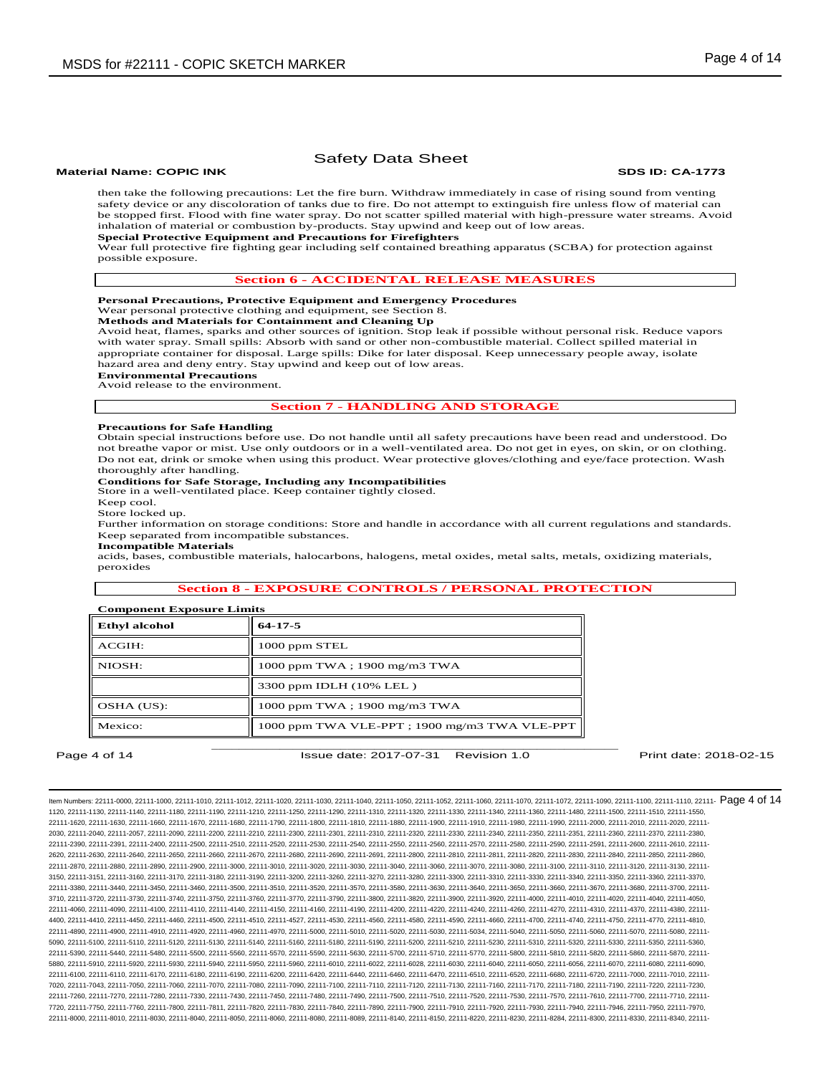## **Material Name: COPIC INK SDS ID: CA-1773**

# Safety Data Sheet

then take the following precautions: Let the fire burn. Withdraw immediately in case of rising sound from venting safety device or any discoloration of tanks due to fire. Do not attempt to extinguish fire unless flow of material can be stopped first. Flood with fine water spray. Do not scatter spilled material with high-pressure water streams. Avoid inhalation of material or combustion by-products. Stay upwind and keep out of low areas. **Special Protective Equipment and Precautions for Firefighters** 

Wear full protective fire fighting gear including self contained breathing apparatus (SCBA) for protection against

possible exposure.

## **Section 6 - ACCIDENTAL RELEASE MEASURES**

#### **Personal Precautions, Protective Equipment and Emergency Procedures**  Wear personal protective clothing and equipment, see Section 8.

## **Methods and Materials for Containment and Cleaning Up**

Avoid heat, flames, sparks and other sources of ignition. Stop leak if possible without personal risk. Reduce vapors with water spray. Small spills: Absorb with sand or other non-combustible material. Collect spilled material in appropriate container for disposal. Large spills: Dike for later disposal. Keep unnecessary people away, isolate hazard area and deny entry. Stay upwind and keep out of low areas.

## **Environmental Precautions**

Avoid release to the environment.

## **Section 7 - HANDLING AND STORAGE**

#### **Precautions for Safe Handling**

Obtain special instructions before use. Do not handle until all safety precautions have been read and understood. Do not breathe vapor or mist. Use only outdoors or in a well-ventilated area. Do not get in eyes, on skin, or on clothing. Do not eat, drink or smoke when using this product. Wear protective gloves/clothing and eye/face protection. Wash thoroughly after handling.

## **Conditions for Safe Storage, Including any Incompatibilities**

Store in a well-ventilated place. Keep container tightly closed.

Keep cool.

Store locked up.

Further information on storage conditions: Store and handle in accordance with all current regulations and standards. Keep separated from incompatible substances.

**Incompatible Materials** 

acids, bases, combustible materials, halocarbons, halogens, metal oxides, metal salts, metals, oxidizing materials, peroxides

## **Section 8 - EXPOSURE CONTROLS / PERSONAL PROTECTION**

## **Component Exposure Limits**

| <b>Ethyl alcohol</b> | $64-17-5$                                    |
|----------------------|----------------------------------------------|
| ACGIH:               | 1000 ppm STEL                                |
| NIOSH:               | 1000 ppm TWA; 1900 mg/m3 TWA                 |
|                      | 3300 ppm IDLH (10% LEL)                      |
| OSHA (US):           | 1000 ppm TWA; 1900 mg/m3 TWA                 |
| Mexico:              | 1000 ppm TWA VLE-PPT; 1900 mg/m3 TWA VLE-PPT |

Page 4 of 14 **ISSUE date: 2017-07-31** Revision 1.0 **Print date: 2018-02-15** Print date: 2018-02-15

ltem Numbers: 22111-0000, 22111-1000, 22111-1010, 22111-1012, 22111-1020, 22111-1030, 22111-1040, 22111-1050, 22111-1050, 22111-1000, 22111-1000, 22111-1000, 22111-1000, 22111-1100, 22111-1110, 22111-100, 22111-100, 22111-1120, 22111-1130, 22111-1140, 22111-1180, 22111-1190, 22111-1210, 22111-1250, 22111-1290, 22111-1310, 22111-1320, 22111-1330, 22111-1340, 22111-1360, 22111-1480, 22111-1500, 22111-1510, 22111-1550, 22111-1620, 22111-1630, 22111-1660, 22111-1670, 22111-1680, 22111-1790, 22111-1800, 22111-1810, 22111-1880, 22111-1900, 22111-1910, 22111-1980, 22111-1990, 22111-2000, 22111-2010, 22111-2020, 22111- 2030, 22111-2040, 22111-2057, 22111-2090, 22111-2200, 22111-2210, 22111-2300, 22111-2301, 22111-2310, 22111-2320, 22111-2330, 22111-2340, 22111-2350, 22111-2351, 22111-2360, 22111-2370, 22111-2380, 22111-2390, 22111-2391, 22111-2400, 22111-2500, 22111-2510, 22111-2520, 22111-2530, 22111-2540, 22111-2550, 22111-2560, 22111-2570, 22111-2580, 22111-2590, 22111-2591, 22111-2600, 22111-2610, 22111- 2620, 22111-2630, 22111-2640, 22111-2650, 22111-2660, 22111-2670, 22111-2680, 22111-2690, 22111-2691, 22111-2800, 22111-2810, 22111-2811, 22111-2820, 22111-2830, 22111-2840, 22111-2850, 22111-2860, 22111-2870, 22111-2880, 22111-2890, 22111-2900, 22111-3000, 22111-3010, 22111-3020, 22111-3030, 22111-3040, 22111-3060, 22111-3070, 22111-3080, 22111-3100, 22111-3110, 22111-3120, 22111-3130, 22111- 3150, 22111-3151, 22111-3160, 22111-3170, 22111-3180, 22111-3190, 22111-3200, 22111-3260, 22111-3270, 22111-3280, 22111-3300, 22111-3310, 22111-3330, 22111-3340, 22111-3350, 22111-3360, 22111-3370, 22111-3380, 22111-3440, 22111-3450, 22111-3460, 22111-3500, 22111-3510, 22111-3520, 22111-3570, 22111-3580, 22111-3630, 22111-3640, 22111-3650, 22111-3660, 22111-3670, 22111-3680, 22111-3700, 22111- 3710, 22111-3720, 22111-3730, 22111-3740, 22111-3750, 22111-3760, 22111-3770, 22111-3790, 22111-3800, 22111-3820, 22111-3900, 22111-3920, 22111-4000, 22111-4010, 22111-4020, 22111-4040, 22111-4050, 22111-4060, 22111-4090, 22111-4100, 22111-4110, 22111-4140, 22111-4150, 22111-4160, 22111-4190, 22111-4200, 22111-4220, 22111-4240, 22111-4260, 22111-4270, 22111-4310, 22111-4370, 22111-4380, 22111- 4400, 22111-4410, 22111-4450, 22111-4460, 22111-4500, 22111-4510, 22111-4527, 22111-4530, 22111-4560, 22111-4580, 22111-4590, 22111-4660, 22111-4700, 22111-4740, 22111-4750, 22111-4770, 22111-4810, 22111-4890, 22111-4900, 22111-4910, 22111-4920, 22111-4960, 22111-4970, 22111-5000, 22111-5010, 22111-5020, 22111-5030, 22111-5034, 22111-5040, 22111-5050, 22111-5060, 22111-5070, 22111-5080, 22111- 5090, 22111-5100, 22111-5110, 22111-5120, 22111-5130, 22111-5140, 22111-5160, 22111-5180, 22111-5190, 22111-5200, 22111-5210, 22111-5230, 22111-5300, 22111-5320, 22111-5330, 22111-5350, 22111-5360, 22111-5350, 22111-5360, 2 22111-5390, 22111-5440, 22111-5480, 22111-5500, 22111-5560, 22111-5570, 22111-5590, 22111-5630, 22111-5700, 22111-5710, 22111-5770, 22111-5800, 22111-5810, 22111-5820, 22111-5860, 22111-5870, 22111- 5880, 22111-5910, 22111-5920, 22111-5930, 22111-5940, 22111-5950, 22111-5960, 22111-6010, 22111-6022, 22111-6028, 22111-6030, 22111-6040, 22111-6050, 22111-6056, 22111-6070, 22111-6080, 22111-6090, 22111-6100, 22111-6110, 22111-6170, 22111-6180, 22111-6190, 22111-6200, 22111-6420, 22111-6440, 22111-6460, 22111-6470, 22111-6510, 22111-6520, 22111-6680, 22111-6720, 22111-7000, 22111-7010, 22111- 7020, 22111-7043, 22111-7050, 22111-7060, 22111-7070, 22111-7080, 22111-7090, 22111-7100, 22111-7110, 22111-7120, 22111-7130, 22111-7160, 22111-7170, 22111-7180, 22111-7190, 22111-7220, 22111-7230, 22111-7260, 22111-7270, 22111-7280, 22111-7330, 22111-7430, 22111-7450, 22111-7480, 22111-7490, 22111-7500, 22111-7510, 22111-7520, 22111-7530, 22111-7570, 22111-7610, 22111-7700, 22111-7710, 22111- 7720, 22111-7750, 22111-7760, 22111-7800, 22111-7811, 22111-7820, 22111-7830, 22111-7840, 22111-7890, 22111-7900, 22111-7910, 22111-7920, 22111-7930, 22111-7940, 22111-7946, 22111-7950, 22111-7970, 22111-8000, 22111-8010, 22111-8030, 22111-8040, 22111-8050, 22111-8060, 22111-8080, 22111-8089, 22111-8140, 22111-8150, 22111-8220, 22111-8230, 22111-8284, 22111-8300, 22111-8330, 22111-8340, 22111-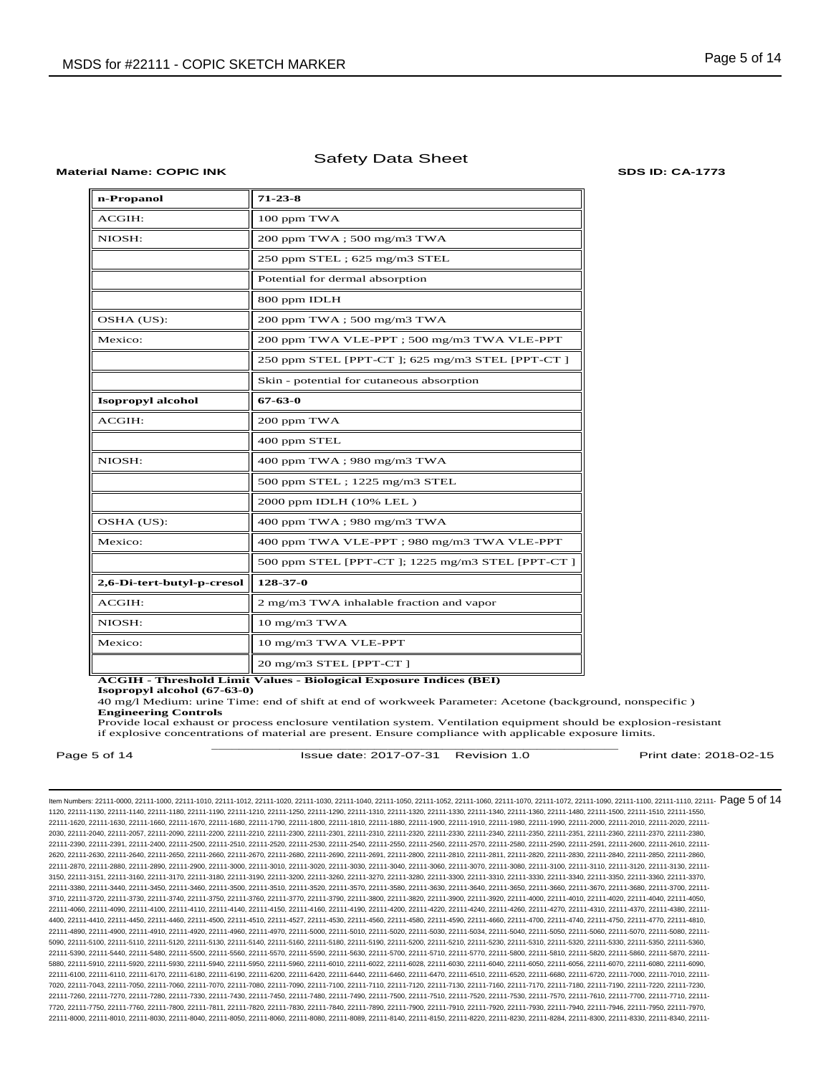#### **Material Name: COPIC INK SDS ID: CA-1773**

| n-Propanol                 | $71 - 23 - 8$                                   |
|----------------------------|-------------------------------------------------|
| ACGIH:                     | 100 ppm TWA                                     |
| NIOSH:                     | 200 ppm TWA; 500 mg/m3 TWA                      |
|                            | 250 ppm STEL; 625 mg/m3 STEL                    |
|                            | Potential for dermal absorption                 |
|                            | 800 ppm IDLH                                    |
| OSHA (US):                 | 200 ppm TWA ; 500 mg/m3 TWA                     |
| Mexico:                    | 200 ppm TWA VLE-PPT; 500 mg/m3 TWA VLE-PPT      |
|                            | 250 ppm STEL [PPT-CT]; 625 mg/m3 STEL [PPT-CT]  |
|                            | Skin - potential for cutaneous absorption       |
| <b>Isopropyl alcohol</b>   | 67-63-0                                         |
| ACGIH:                     | 200 ppm TWA                                     |
|                            | 400 ppm STEL                                    |
| NIOSH:                     | 400 ppm TWA; 980 mg/m3 TWA                      |
|                            | 500 ppm STEL; 1225 mg/m3 STEL                   |
|                            | 2000 ppm IDLH (10% LEL)                         |
| OSHA (US):                 | 400 ppm TWA; 980 mg/m3 TWA                      |
| Mexico:                    | 400 ppm TWA VLE-PPT; 980 mg/m3 TWA VLE-PPT      |
|                            | 500 ppm STEL [PPT-CT]; 1225 mg/m3 STEL [PPT-CT] |
| 2,6-Di-tert-butyl-p-cresol | 128-37-0                                        |
| ACGIH:                     | 2 mg/m3 TWA inhalable fraction and vapor        |
| NIOSH:                     | 10 mg/m3 TWA                                    |
| Mexico:                    | 10 mg/m3 TWA VLE-PPT                            |
|                            | 20 mg/m3 STEL [PPT-CT]                          |

**ACGIH - Threshold Limit Values - Biological Exposure Indices (BEI)** 

**Isopropyl alcohol (67-63-0)**

40 mg/l Medium: urine Time: end of shift at end of workweek Parameter: Acetone (background, nonspecific ) **Engineering Controls**

\_\_\_\_\_\_\_\_\_\_\_\_\_\_\_\_\_\_\_\_\_\_\_\_\_\_\_\_\_\_\_\_\_\_\_\_\_\_\_\_\_\_\_\_\_\_\_\_\_\_\_\_\_\_\_\_\_\_\_\_ Provide local exhaust or process enclosure ventilation system. Ventilation equipment should be explosion-resistant if explosive concentrations of material are present. Ensure compliance with applicable exposure limits.

Page 5 of 14 **ISSue date: 2017-07-31** Revision 1.0 **Print date: 2018-02-15** Print date: 2018-02-15

ltem Numbers: 22111-0000, 22111-1000, 22111-1010, 22111-1012, 22111-1020, 22111-1030, 22111-1040, 22111-1050, 22111-1050, 22111-1000, 22111-1000, 22111-1000, 22111-1000, 22111-1100, 22111-1110, 22111-100, 22111-100, 22111-1120, 22111-1130, 22111-1140, 22111-1180, 22111-1190, 22111-1210, 22111-1250, 22111-1290, 22111-1310, 22111-1320, 22111-1330, 22111-1340, 22111-1360, 22111-1480, 22111-1500, 22111-1510, 22111-1550, 22111-1620, 22111-1630, 22111-1660, 22111-1670, 22111-1680, 22111-1790, 22111-1800, 22111-1810, 22111-1880, 22111-1900, 22111-1910, 22111-1980, 22111-1990, 22111-2000, 22111-2010, 22111-2020, 22111- 2030, 22111-2040, 22111-2057, 22111-2090, 22111-2200, 22111-2210, 22111-2300, 22111-2301, 22111-2310, 22111-2320, 22111-2330, 22111-2340, 22111-2350, 22111-2351, 22111-2360, 22111-2370, 22111-2380, 22111-2390, 22111-2391, 22111-2400, 22111-2500, 22111-2510, 22111-2520, 22111-2530, 22111-2540, 22111-2550, 22111-2560, 22111-2570, 22111-2580, 22111-2590, 22111-2591, 22111-2600, 22111-2610, 22111- 2620, 22111-2630, 22111-2640, 22111-2650, 22111-2660, 22111-2670, 22111-2680, 22111-2690, 22111-2691, 22111-2800, 22111-2810, 22111-2811, 22111-2820, 22111-2830, 22111-2840, 22111-2850, 22111-2860, 22111-2870, 22111-2880, 22111-2890, 22111-2900, 22111-3000, 22111-3010, 22111-3020, 22111-3030, 22111-3040, 22111-3060, 22111-3070, 22111-3080, 22111-3100, 22111-3110, 22111-3120, 22111-3130, 22111- 3150, 22111-3151, 22111-3160, 22111-3170, 22111-3180, 22111-3190, 22111-3200, 22111-3260, 22111-3270, 22111-3280, 22111-3300, 22111-3310, 22111-3330, 22111-3340, 22111-3350, 22111-3360, 22111-3370, 22111-3380, 22111-3440, 22111-3450, 22111-3460, 22111-3500, 22111-3510, 22111-3520, 22111-3570, 22111-3580, 22111-3630, 22111-3640, 22111-3650, 22111-3660, 22111-3670, 22111-3680, 22111-3700, 22111- 3710, 22111-3720, 22111-3730, 22111-3740, 22111-3750, 22111-3760, 22111-3770, 22111-3790, 22111-3800, 22111-3820, 22111-3900, 22111-3920, 22111-4000, 22111-4010, 22111-4020, 22111-4040, 22111-4050, 22111-4060, 22111-4090, 22111-4100, 22111-4110, 22111-4140, 22111-4150, 22111-4160, 22111-4190, 22111-4200, 22111-4220, 22111-4240, 22111-4260, 22111-4270, 22111-4310, 22111-4370, 22111-4380, 22111- 4400, 22111-4410, 22111-4450, 22111-4460, 22111-4500, 22111-4510, 22111-4527, 22111-4530, 22111-4560, 22111-4580, 22111-4590, 22111-4660, 22111-4700, 22111-4740, 22111-4750, 22111-4770, 22111-4810, 22111-4890, 22111-4900, 22111-4910, 22111-4920, 22111-4960, 22111-4970, 22111-5000, 22111-5010, 22111-5020, 22111-5030, 22111-5034, 22111-5040, 22111-5050, 22111-5060, 22111-5070, 22111-5080, 22111- 5090, 22111-5100, 22111-5110, 22111-5120, 22111-5130, 22111-5140, 22111-5160, 22111-5180, 22111-5190, 22111-5200, 22111-5210, 22111-5230, 22111-5300, 22111-5320, 22111-5330, 22111-5350, 22111-5360, 22111-5350, 22111-5360, 2 22111-5390, 22111-5440, 22111-5480, 22111-5500, 22111-5560, 22111-5570, 22111-5590, 22111-5630, 22111-5700, 22111-5710, 22111-5770, 22111-5800, 22111-5810, 22111-5820, 22111-5860, 22111-5870, 22111- 5880, 22111-5910, 22111-5920, 22111-5930, 22111-5940, 22111-5950, 22111-5960, 22111-6010, 22111-6022, 22111-6028, 22111-6030, 22111-6040, 22111-6050, 22111-6056, 22111-6070, 22111-6080, 22111-6090, 22111-6100, 22111-6110, 22111-6170, 22111-6180, 22111-6190, 22111-6200, 22111-6420, 22111-6400, 22111-6460, 22111-6470, 22111-6450, 22111-6520, 22111-6520, 22111-6720, 22111-6720, 22111-7010, 22111-7000, 22111-6720, 22111-6 7020, 22111-7043, 22111-7050, 22111-7060, 22111-7070, 22111-7080, 22111-7090, 22111-7100, 22111-7110, 22111-7120, 22111-7130, 22111-7160, 22111-7170, 22111-7180, 22111-7190, 22111-7220, 22111-7230, 22111-7260, 22111-7270, 22111-7280, 22111-7330, 22111-7430, 22111-7450, 22111-7480, 22111-7490, 22111-7500, 22111-7510, 22111-7520, 22111-7530, 22111-7570, 22111-7610, 22111-7700, 22111-7710, 22111- 7720, 22111-7750, 22111-7760, 22111-7800, 22111-7811, 22111-7820, 22111-7830, 22111-7840, 22111-7890, 22111-7900, 22111-7910, 22111-7920, 22111-7930, 22111-7940, 22111-7946, 22111-7950, 22111-7970, 22111-8000, 22111-8010, 22111-8030, 22111-8040, 22111-8050, 22111-8060, 22111-8080, 22111-8089, 22111-8140, 22111-8150, 22111-8220, 22111-8230, 22111-8284, 22111-8300, 22111-8330, 22111-8340, 22111-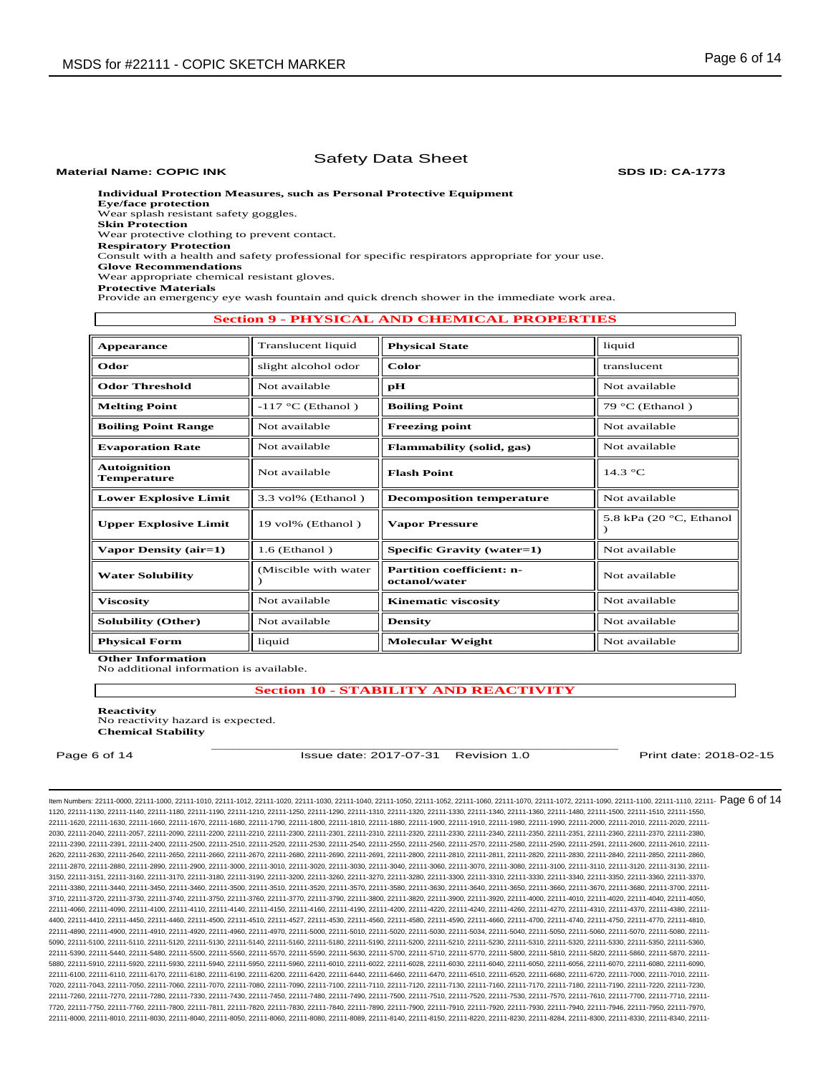**Material Name: COPIC INK SDS ID: CA-1773**

**Individual Protection Measures, such as Personal Protective Equipment** 

**Eye/face protection**  Wear splash resistant safety goggles.

**Skin Protection** 

Wear protective clothing to prevent contact.

**Respiratory Protection**

Consult with a health and safety professional for specific respirators appropriate for your use. **Glove Recommendations**

Wear appropriate chemical resistant gloves.

**Protective Materials**

Provide an emergency eye wash fountain and quick drench shower in the immediate work area.

## **Section 9 - PHYSICAL AND CHEMICAL PROPERTIES**

| <b>Appearance</b>                  | Translucent liquid    | <b>Physical State</b>                             | liquid                     |
|------------------------------------|-----------------------|---------------------------------------------------|----------------------------|
| Odor                               | slight alcohol odor   | Color                                             | translucent                |
| <b>Odor Threshold</b>              | Not available         | рH                                                | Not available              |
| <b>Melting Point</b>               | $-117$ °C (Ethanol)   | <b>Boiling Point</b>                              | 79 °C (Ethanol)            |
| <b>Boiling Point Range</b>         | Not available         | <b>Freezing point</b>                             | Not available              |
| <b>Evaporation Rate</b>            | Not available         | Flammability (solid, gas)                         | Not available              |
| <b>Autoignition</b><br>Temperature | Not available         | <b>Flash Point</b>                                | $14.3 \text{ °C}$          |
| <b>Lower Explosive Limit</b>       | 3.3 vol% (Ethanol)    | <b>Decomposition temperature</b>                  | Not available              |
| <b>Upper Explosive Limit</b>       | 19 vol% (Ethanol)     | <b>Vapor Pressure</b>                             | 5.8 kPa $(20 °C, Ethanol)$ |
| Vapor Density (air=1)              | $1.6$ (Ethanol)       | Specific Gravity (water=1)                        | Not available              |
| <b>Water Solubility</b>            | (Miscible with water) | <b>Partition coefficient: n-</b><br>octanol/water | Not available              |
| <b>Viscosity</b>                   | Not available         | <b>Kinematic viscosity</b>                        | Not available              |
| <b>Solubility (Other)</b>          | Not available         | <b>Density</b>                                    | Not available              |
| <b>Physical Form</b>               | liquid                | <b>Molecular Weight</b>                           | Not available              |

**Other Information** No additional information is available.

**Section 10 - STABILITY AND REACTIVITY**

\_\_\_\_\_\_\_\_\_\_\_\_\_\_\_\_\_\_\_\_\_\_\_\_\_\_\_\_\_\_\_\_\_\_\_\_\_\_\_\_\_\_\_\_\_\_\_\_\_\_\_\_\_\_\_\_\_\_\_\_

**Reactivity** 

No reactivity hazard is expected. **Chemical Stability**

Page 6 of 14 **ISSue date: 2017-07-31** Revision 1.0 **Print date: 2018-02-15** Print date: 2018-02-15

ltem Numbers: 22111-0000, 22111-1000, 22111-1010, 22111-1012, 22111-1020, 22111-1030, 22111-1040, 22111-1050, 22111-1050, 22111-1000, 22111-1000, 22111-1000, 22111-1000, 22111-1100, 22111-1110, 22111-100, 22111-100, 22111-1120, 22111-1130, 22111-1140, 22111-1180, 22111-1190, 22111-1210, 22111-1250, 22111-1290, 22111-1310, 22111-1320, 22111-1330, 22111-1340, 22111-1360, 22111-1480, 22111-1500, 22111-1510, 22111-1550, 22111-1620, 22111-1630, 22111-1660, 22111-1670, 22111-1680, 22111-1790, 22111-1800, 22111-1810, 22111-1880, 22111-1900, 22111-1910, 22111-1980, 22111-1990, 22111-2000, 22111-2010, 22111-2020, 22111- 2030, 22111-2040, 22111-2057, 22111-2090, 22111-2200, 22111-2210, 22111-2300, 22111-2301, 22111-2310, 22111-2320, 22111-2330, 22111-2340, 22111-2350, 22111-2351, 22111-2360, 22111-2370, 22111-2380, 22111-2390, 22111-2391, 22111-2400, 22111-2500, 22111-2510, 22111-2520, 22111-2530, 22111-2540, 22111-2550, 22111-2560, 22111-2570, 22111-2580, 22111-2590, 22111-2591, 22111-2600, 22111-2610, 22111- 2620, 22111-2630, 22111-2640, 22111-2650, 22111-2660, 22111-2670, 22111-2680, 22111-2690, 22111-2691, 22111-2800, 22111-2810, 22111-2811, 22111-2820, 22111-2830, 22111-2840, 22111-2850, 22111-2860, 22111-2870, 22111-2880, 22111-2890, 22111-2900, 22111-3000, 22111-3010, 22111-3020, 22111-3030, 22111-3040, 22111-3060, 22111-3070, 22111-3080, 22111-3100, 22111-3110, 22111-3120, 22111-3130, 22111- 3150, 22111-3151, 22111-3160, 22111-3170, 22111-3180, 22111-3190, 22111-3200, 22111-3260, 22111-3270, 22111-3280, 22111-3300, 22111-3310, 22111-3330, 22111-3340, 22111-3350, 22111-3360, 22111-3370, 22111-3380, 22111-3440, 22111-3450, 22111-3460, 22111-3500, 22111-3510, 22111-3520, 22111-3570, 22111-3580, 22111-3630, 22111-3640, 22111-3650, 22111-3660, 22111-3670, 22111-3680, 22111-3700, 22111- 3710, 22111-3720, 22111-3730, 22111-3740, 22111-3750, 22111-3760, 22111-3770, 22111-3790, 22111-3800, 22111-3820, 22111-3900, 22111-3920, 22111-4000, 22111-4010, 22111-4020, 22111-4040, 22111-4050, 22111-4060, 22111-4090, 22111-4100, 22111-4110, 22111-4140, 22111-4150, 22111-4160, 22111-4190, 22111-4200, 22111-4220, 22111-4240, 22111-4260, 22111-4270, 22111-4310, 22111-4370, 22111-4380, 22111- 4400, 22111-4410, 22111-4450, 22111-4460, 22111-4500, 22111-4510, 22111-4527, 22111-4530, 22111-4560, 22111-4580, 22111-4590, 22111-4660, 22111-4700, 22111-4740, 22111-4750, 22111-4770, 22111-4810, 22111-4890, 22111-4900, 22111-4910, 22111-4920, 22111-4960, 22111-4970, 22111-5000, 22111-5010, 22111-5020, 22111-5030, 22111-5034, 22111-5040, 22111-5050, 22111-5060, 22111-5070, 22111-5080, 22111- 5090, 22111-5100, 22111-5110, 22111-5120, 22111-5130, 22111-5140, 22111-5160, 22111-5180, 22111-5190, 22111-5200, 22111-5210, 22111-5230, 22111-5300, 22111-5320, 22111-5330, 22111-5350, 22111-5360, 22111-5350, 22111-5360, 2 22111-5390, 22111-5440, 22111-5480, 22111-5500, 22111-5560, 22111-5570, 22111-5590, 22111-5630, 22111-5700, 22111-5710, 22111-5770, 22111-5800, 22111-5810, 22111-5820, 22111-5860, 22111-5870, 22111- 5880, 22111-5910, 22111-5920, 22111-5930, 22111-5940, 22111-5950, 22111-5960, 22111-6010, 22111-6022, 22111-6028, 22111-6030, 22111-6040, 22111-6050, 22111-6056, 22111-6070, 22111-6080, 22111-6090, 22111-6100, 22111-6110, 22111-6170, 22111-6180, 22111-6190, 22111-6200, 22111-6420, 22111-6400, 22111-6460, 22111-6470, 22111-6450, 22111-6520, 22111-6520, 22111-6720, 22111-6720, 22111-7010, 22111-7000, 22111-6720, 22111-6 7020, 22111-7043, 22111-7050, 22111-7060, 22111-7070, 22111-7080, 22111-7090, 22111-7100, 22111-7110, 22111-7120, 22111-7130, 22111-7160, 22111-7170, 22111-7180, 22111-7190, 22111-7220, 22111-7230, 22111-7260, 22111-7270, 22111-7280, 22111-7330, 22111-7430, 22111-7450, 22111-7480, 22111-7490, 22111-7500, 22111-7510, 22111-7520, 22111-7530, 22111-7570, 22111-7610, 22111-7700, 22111-7710, 22111- 7720, 22111-7750, 22111-7760, 22111-7800, 22111-7811, 22111-7820, 22111-7830, 22111-7840, 22111-7890, 22111-7900, 22111-7910, 22111-7920, 22111-7930, 22111-7940, 22111-7946, 22111-7950, 22111-7970, 22111-8000, 22111-8010, 22111-8030, 22111-8040, 22111-8050, 22111-8060, 22111-8080, 22111-8089, 22111-8140, 22111-8150, 22111-8220, 22111-8230, 22111-8284, 22111-8300, 22111-8330, 22111-8340, 22111-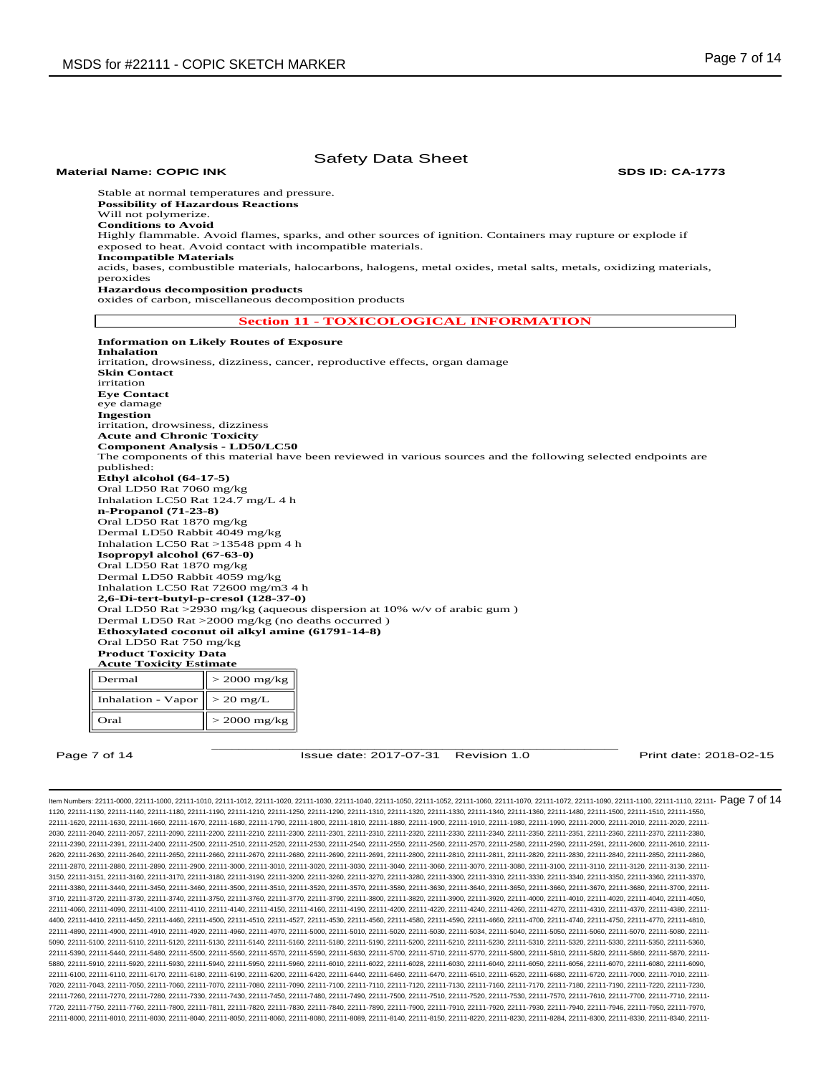**Material Name: COPIC INK SDS ID: CA-1773**

Stable at normal temperatures and pressure. **Possibility of Hazardous Reactions** Will not polymerize. **Conditions to Avoid** Highly flammable. Avoid flames, sparks, and other sources of ignition. Containers may rupture or explode if exposed to heat. Avoid contact with incompatible materials. **Incompatible Materials** acids, bases, combustible materials, halocarbons, halogens, metal oxides, metal salts, metals, oxidizing materials, peroxides **Hazardous decomposition products**  oxides of carbon, miscellaneous decomposition products **Section 11 - TOXICOLOGICAL INFORMATION Information on Likely Routes of Exposure Inhalation**  irritation, drowsiness, dizziness, cancer, reproductive effects, organ damage **Skin Contact**  irritation **Eye Contact**  eye damage **Ingestion** 

irritation, drowsiness, dizziness **Acute and Chronic Toxicity Component Analysis - LD50/LC50**  The components of this material have been reviewed in various sources and the following selected endpoints are published: **Ethyl alcohol (64-17-5)** Oral LD50 Rat 7060 mg/kg Inhalation LC50 Rat 124.7 mg/L 4 h **n-Propanol (71-23-8)** Oral LD50 Rat 1870 mg/kg Dermal LD50 Rabbit 4049 mg/kg Inhalation LC50 Rat >13548 ppm 4 h **Isopropyl alcohol (67-63-0)** Oral LD50 Rat 1870 mg/kg Dermal LD50 Rabbit 4059 mg/kg Inhalation LC50 Rat 72600 mg/m3 4 h **2,6-Di-tert-butyl-p-cresol (128-37-0)** Oral LD50 Rat >2930 mg/kg (aqueous dispersion at 10% w/v of arabic gum ) Dermal LD50 Rat >2000 mg/kg (no deaths occurred ) **Ethoxylated coconut oil alkyl amine (61791-14-8)** Oral LD50 Rat 750 mg/kg **Product Toxicity Data Acute Toxicity Estimate**  Dermal  $> 2000 \text{ mg/kg}$ 

Inhalation - Vapor  $\vert \vert > 20$  mg/L Oral  $> 2000$  mg/kg

\_\_\_\_\_\_\_\_\_\_\_\_\_\_\_\_\_\_\_\_\_\_\_\_\_\_\_\_\_\_\_\_\_\_\_\_\_\_\_\_\_\_\_\_\_\_\_\_\_\_\_\_\_\_\_\_\_\_\_\_ Page 7 of 14 **ISSUE date: 2017-07-31** Revision 1.0 **Print date: 2018-02-15** Print date: 2018-02-15

ltem Numbers: 22111-0000, 22111-1000, 22111-1010, 22111-1012, 22111-1020, 22111-1030, 22111-1040, 22111-1050, 22111-1050, 22111-1000, 22111-1000, 22111-1000, 22111-1000, 22111-1100, 22111-110, 22111-100, 22111-100, 22111-1 1120, 22111-1130, 22111-1140, 22111-1180, 22111-1190, 22111-1210, 22111-1250, 22111-1290, 22111-1310, 22111-1320, 22111-1330, 22111-1340, 22111-1360, 22111-1480, 22111-1500, 22111-1510, 22111-1550, 22111-1620, 22111-1630, 22111-1660, 22111-1670, 22111-1680, 22111-1790, 22111-1800, 22111-1810, 22111-1880, 22111-1900, 22111-1910, 22111-1980, 22111-1990, 22111-2000, 22111-2010, 22111-2020, 22111- 2030, 22111-2040, 22111-2057, 22111-2090, 22111-2200, 22111-2210, 22111-2300, 22111-2301, 22111-2310, 22111-2320, 22111-2330, 22111-2340, 22111-2350, 22111-2351, 22111-2360, 22111-2370, 22111-2380, 22111-2390, 22111-2391, 22111-2400, 22111-2500, 22111-2510, 22111-2520, 22111-2530, 22111-2540, 22111-2550, 22111-2560, 22111-2570, 22111-2580, 22111-2590, 22111-2591, 22111-2600, 22111-2610, 22111- 2620, 22111-2630, 22111-2640, 22111-2650, 22111-2660, 22111-2670, 22111-2680, 22111-2690, 22111-2691, 22111-2800, 22111-2810, 22111-2811, 22111-2820, 22111-2830, 22111-2840, 22111-2850, 22111-2860, 22111-2870, 22111-2880, 22111-2890, 22111-2900, 22111-3000, 22111-3010, 22111-3020, 22111-3030, 22111-3040, 22111-3060, 22111-3070, 22111-3080, 22111-3100, 22111-3110, 22111-3120, 22111-3130, 22111- 3150, 22111-3151, 22111-3160, 22111-3170, 22111-3180, 22111-3190, 22111-3200, 22111-3260, 22111-3270, 22111-3280, 22111-3300, 22111-3310, 22111-3330, 22111-3340, 22111-3350, 22111-3360, 22111-3370, 22111-3380, 22111-3440, 22111-3450, 22111-3460, 22111-3500, 22111-3510, 22111-3520, 22111-3570, 22111-3580, 22111-3630, 22111-3640, 22111-3650, 22111-3660, 22111-3670, 22111-3680, 22111-3700, 22111- 3710, 22111-3720, 22111-3730, 22111-3740, 22111-3750, 22111-3760, 22111-3770, 22111-3790, 22111-3800, 22111-3820, 22111-3900, 22111-3920, 22111-4000, 22111-4010, 22111-4020, 22111-4040, 22111-4050, 22111-4060, 22111-4090, 22111-4100, 22111-4110, 22111-4140, 22111-4150, 22111-4160, 22111-4190, 22111-4200, 22111-4220, 22111-4240, 22111-4260, 22111-4270, 22111-4310, 22111-4370, 22111-4380, 22111- 4400, 22111-4410, 22111-4450, 22111-4460, 22111-4500, 22111-4510, 22111-4527, 22111-4530, 22111-4560, 22111-4580, 22111-4590, 22111-4660, 22111-4700, 22111-4740, 22111-4750, 22111-4770, 22111-4810, 22111-4890, 22111-4900, 22111-4910, 22111-4920, 22111-4960, 22111-4970, 22111-5000, 22111-5010, 22111-5020, 22111-5030, 22111-5034, 22111-5040, 22111-5050, 22111-5060, 22111-5070, 22111-5080, 22111- 5090, 22111-5100, 22111-5110, 22111-5120, 22111-5130, 22111-5140, 22111-5160, 22111-5180, 22111-5190, 22111-5200, 22111-5210, 22111-5230, 22111-5300, 22111-5320, 22111-5330, 22111-5350, 22111-5360, 22111-5350, 22111-5360, 2 22111-5390, 22111-5440, 22111-5480, 22111-5500, 22111-5560, 22111-5570, 22111-5590, 22111-5630, 22111-5700, 22111-5710, 22111-5770, 22111-5800, 22111-5810, 22111-5820, 22111-5860, 22111-5870, 22111- 5880, 22111-5910, 22111-5920, 22111-5930, 22111-5940, 22111-5950, 22111-5960, 22111-6010, 22111-6022, 22111-6028, 22111-6030, 22111-6040, 22111-6050, 22111-6056, 22111-6070, 22111-6080, 22111-6090, 22111-6100, 22111-6110, 22111-6170, 22111-6180, 22111-6190, 22111-6200, 22111-6420, 22111-6440, 22111-6460, 22111-6470, 22111-6510, 22111-6520, 22111-6680, 22111-6720, 22111-7000, 22111-7010, 22111- 7020, 22111-7043, 22111-7050, 22111-7060, 22111-7070, 22111-7080, 22111-7090, 22111-7100, 22111-7110, 22111-7120, 22111-7130, 22111-7160, 22111-7170, 22111-7180, 22111-7190, 22111-7220, 22111-7230, 22111-7260, 22111-7270, 22111-7280, 22111-7330, 22111-7430, 22111-7450, 22111-7480, 22111-7490, 22111-7500, 22111-7510, 22111-7520, 22111-7530, 22111-7570, 22111-7610, 22111-7700, 22111-7710, 22111- 7720, 22111-7750, 22111-7760, 22111-7800, 22111-7811, 22111-7820, 22111-7830, 22111-7840, 22111-7890, 22111-7900, 22111-7910, 22111-7920, 22111-7930, 22111-7940, 22111-7946, 22111-7950, 22111-7970, 22111-8000, 22111-8010, 22111-8030, 22111-8040, 22111-8050, 22111-8060, 22111-8080, 22111-8089, 22111-8140, 22111-8150, 22111-8220, 22111-8230, 22111-8284, 22111-8300, 22111-8330, 22111-8340, 22111-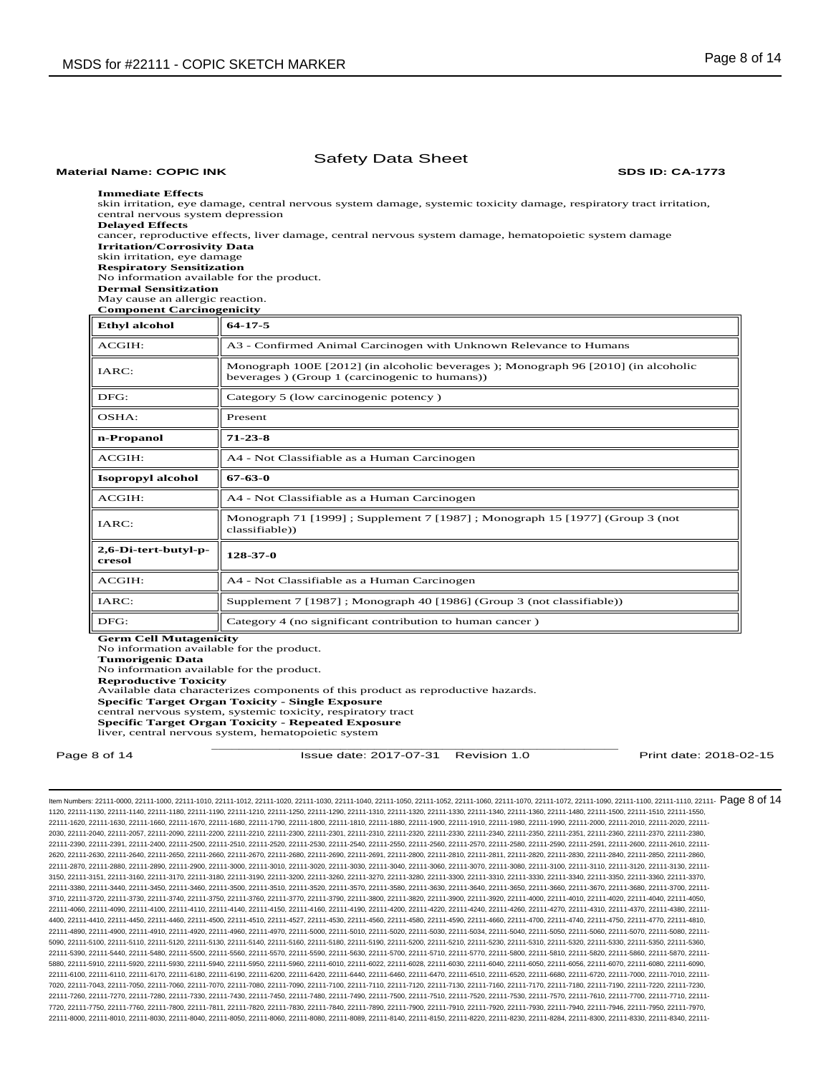# **Immediate Effects**  skin irritation, eye damage, central nervous system damage, systemic toxicity damage, respiratory tract irritation, central nervous system depression **Delayed Effects**  cancer, reproductive effects, liver damage, central nervous system damage, hematopoietic system damage **Irritation/Corrosivity Data**  skin irritation, eye damage **Respiratory Sensitization**  No information available for the product. **Dermal Sensitization**  May cause an allergic reaction. **Component Carcinogenicity Ethyl alcohol 64-17-5** ACGIH: A3 - Confirmed Animal Carcinogen with Unknown Relevance to Humans IARC: Monograph 100E [2012] (in alcoholic beverages ); Monograph 96 [2010] (in alcoholic beverages ) (Group 1 (carcinogenic to humans)) DFG: Category 5 (low carcinogenic potency) OSHA: Present **n-Propanol 71-23-8** ACGIH:  $||$  A4 - Not Classifiable as a Human Carcinogen **Isopropyl alcohol 67-63-0** ACGIH:  $\parallel$  A4 - Not Classifiable as a Human Carcinogen IARC: Monograph 71 [1999] ; Supplement 7 [1987] ; Monograph 15 [1977] (Group 3 (not classifiable)) **2,6-Di-tert-butyl-p-cresol 128-37-0** ACGIH:  $\|$  A4 - Not Classifiable as a Human Carcinogen IARC: Supplement 7 [1987] ; Monograph 40 [1986] (Group 3 (not classifiable))  $\text{DFG:}$  Category 4 (no significant contribution to human cancer) **Germ Cell Mutagenicity**  No information available for the product. **Tumorigenic Data**  No information available for the product.

Safety Data Sheet **Material Name: COPIC INK SDS ID: CA-1773**

**Reproductive Toxicity** 

Available data characterizes components of this product as reproductive hazards. **Specific Target Organ Toxicity - Single Exposure**  central nervous system, systemic toxicity, respiratory tract

**Specific Target Organ Toxicity - Repeated Exposure** 

liver, central nervous system, hematopoietic system

\_\_\_\_\_\_\_\_\_\_\_\_\_\_\_\_\_\_\_\_\_\_\_\_\_\_\_\_\_\_\_\_\_\_\_\_\_\_\_\_\_\_\_\_\_\_\_\_\_\_\_\_\_\_\_\_\_\_\_\_ Page 8 of 14 **ISSUE date: 2017-07-31** Revision 1.0 **Print date: 2018-02-15** Print date: 2018-02-15

ltem Numbers: 22111-0000, 22111-1000, 22111-1010, 22111-1012, 22111-1020, 22111-1030, 22111-1040, 22111-1050, 22111-1050, 22111-1000, 22111-1000, 22111-1000, 22111-1000, 22111-1100, 22111-110, 22111-100, 22111-100, 22111-1 1120, 22111-1130, 22111-1140, 22111-1180, 22111-1190, 22111-1210, 22111-1250, 22111-1290, 22111-1310, 22111-1320, 22111-1330, 22111-1340, 22111-1360, 22111-1480, 22111-1500, 22111-1510, 22111-1550, 22111-1620, 22111-1630, 22111-1660, 22111-1670, 22111-1680, 22111-1790, 22111-1800, 22111-1810, 22111-1880, 22111-1900, 22111-1910, 22111-1980, 22111-1990, 22111-2000, 22111-2010, 22111-2020, 22111- 2030, 22111-2040, 22111-2057, 22111-2090, 22111-2200, 22111-2210, 22111-2300, 22111-2301, 22111-2310, 22111-2320, 22111-2330, 22111-2340, 22111-2350, 22111-2351, 22111-2360, 22111-2370, 22111-2380, 22111-2390, 22111-2391, 22111-2400, 22111-2500, 22111-2510, 22111-2520, 22111-2530, 22111-2540, 22111-2550, 22111-2560, 22111-2570, 22111-2580, 22111-2590, 22111-2591, 22111-2600, 22111-2610, 22111- 2620, 22111-2630, 22111-2640, 22111-2650, 22111-2660, 22111-2670, 22111-2680, 22111-2690, 22111-2691, 22111-2800, 22111-2810, 22111-2811, 22111-2820, 22111-2830, 22111-2840, 22111-2850, 22111-2860, 22111-2870, 22111-2880, 22111-2890, 22111-2900, 22111-3000, 22111-3010, 22111-3020, 22111-3030, 22111-3040, 22111-3060, 22111-3070, 22111-3080, 22111-3100, 22111-3110, 22111-3120, 22111-3130, 22111- 3150, 22111-3151, 22111-3160, 22111-3170, 22111-3180, 22111-3190, 22111-3200, 22111-3260, 22111-3270, 22111-3280, 22111-3300, 22111-3310, 22111-3330, 22111-3340, 22111-3350, 22111-3360, 22111-3370, 22111-3380, 22111-3440, 22111-3450, 22111-3460, 22111-3500, 22111-3510, 22111-3520, 22111-3570, 22111-3580, 22111-3630, 22111-3640, 22111-3650, 22111-3660, 22111-3670, 22111-3680, 22111-3700, 22111- 3710, 22111-3720, 22111-3730, 22111-3740, 22111-3750, 22111-3760, 22111-3770, 22111-3790, 22111-3800, 22111-3820, 22111-3900, 22111-3920, 22111-4000, 22111-4010, 22111-4020, 22111-4040, 22111-4050, 22111-4060, 22111-4090, 22111-4100, 22111-4110, 22111-4140, 22111-4150, 22111-4160, 22111-4190, 22111-4200, 22111-4220, 22111-4240, 22111-4260, 22111-4270, 22111-4310, 22111-4370, 22111-4380, 22111- 4400, 22111-4410, 22111-4450, 22111-4460, 22111-4500, 22111-4510, 22111-4527, 22111-4530, 22111-4560, 22111-4580, 22111-4590, 22111-4660, 22111-4700, 22111-4740, 22111-4750, 22111-4770, 22111-4810, 22111-4890, 22111-4900, 22111-4910, 22111-4920, 22111-4960, 22111-4970, 22111-5000, 22111-5010, 22111-5020, 22111-5030, 22111-5034, 22111-5040, 22111-5050, 22111-5060, 22111-5070, 22111-5080, 22111- 5090, 22111-5100, 22111-5110, 22111-5120, 22111-5130, 22111-5140, 22111-5160, 22111-5180, 22111-5190, 22111-5200, 22111-5210, 22111-5230, 22111-5300, 22111-5320, 22111-5330, 22111-5350, 22111-5360, 22111-5350, 22111-5360, 2 22111-5390, 22111-5440, 22111-5480, 22111-5500, 22111-5560, 22111-5570, 22111-5590, 22111-5630, 22111-5700, 22111-5710, 22111-5770, 22111-5800, 22111-5810, 22111-5820, 22111-5860, 22111-5870, 22111- 5880, 22111-5910, 22111-5920, 22111-5930, 22111-5940, 22111-5950, 22111-5960, 22111-6010, 22111-6022, 22111-6028, 22111-6030, 22111-6040, 22111-6050, 22111-6056, 22111-6070, 22111-6080, 22111-6090, 22111-6100, 22111-6110, 22111-6170, 22111-6180, 22111-6190, 22111-6200, 22111-6420, 22111-6440, 22111-6460, 22111-6470, 22111-6510, 22111-6520, 22111-6680, 22111-6720, 22111-7000, 22111-7010, 22111- 7020, 22111-7043, 22111-7050, 22111-7060, 22111-7070, 22111-7080, 22111-7090, 22111-7100, 22111-7110, 22111-7120, 22111-7130, 22111-7160, 22111-7170, 22111-7180, 22111-7190, 22111-7220, 22111-7230, 22111-7260, 22111-7270, 22111-7280, 22111-7330, 22111-7430, 22111-7450, 22111-7480, 22111-7490, 22111-7500, 22111-7510, 22111-7520, 22111-7530, 22111-7570, 22111-7610, 22111-7700, 22111-7710, 22111- 7720, 22111-7750, 22111-7760, 22111-7800, 22111-7811, 22111-7820, 22111-7830, 22111-7840, 22111-7890, 22111-7900, 22111-7910, 22111-7920, 22111-7930, 22111-7940, 22111-7946, 22111-7950, 22111-7970, 22111-8000, 22111-8010, 22111-8030, 22111-8040, 22111-8050, 22111-8060, 22111-8080, 22111-8089, 22111-8140, 22111-8150, 22111-8220, 22111-8230, 22111-8284, 22111-8300, 22111-8330, 22111-8340, 22111-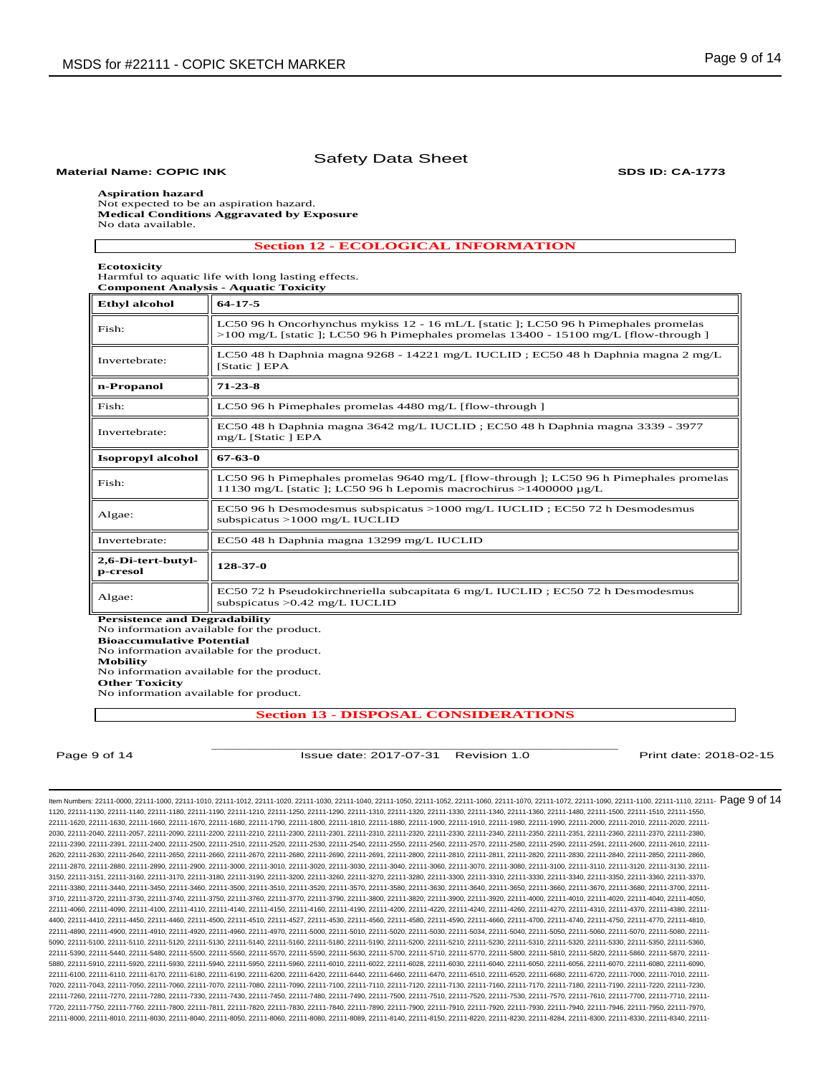### **Material Name: COPIC INK SDS ID: CA-1773**

## **Aspiration hazard**

Not expected to be an aspiration hazard. **Medical Conditions Aggravated by Exposure** No data available.

**Section 12 - ECOLOGICAL INFORMATION**

**Ecotoxicity** 

Harmful to aquatic life with long lasting effects. **Component Analysis - Aquatic Toxicity** 

| <b>Ethyl alcohol</b>           | $64 - 17 - 5$                                                                                                                                                                            |
|--------------------------------|------------------------------------------------------------------------------------------------------------------------------------------------------------------------------------------|
| Fish:                          | LC50 96 h Oncorhynchus mykiss $12 - 16$ mL/L [static ]; LC50 96 h Pimephales promelas<br>$>100 \text{ mg/L}$ [static ]; LC50 96 h Pimephales promelas 13400 - 15100 mg/L [flow-through ] |
| Invertebrate:                  | LC50 48 h Daphnia magna 9268 - 14221 mg/L IUCLID; EC50 48 h Daphnia magna 2 mg/L<br>[Static ] EPA                                                                                        |
| n-Propanol                     | $71 - 23 - 8$                                                                                                                                                                            |
| Fish:                          | LC50 96 h Pimephales promelas 4480 mg/L [flow-through ]                                                                                                                                  |
| Invertebrate:                  | EC50 48 h Daphnia magna 3642 mg/L IUCLID; EC50 48 h Daphnia magna 3339 - 3977<br>mg/L [Static ] EPA                                                                                      |
| Isopropyl alcohol              | 67-63-0                                                                                                                                                                                  |
| Fish:                          | LC50 96 h Pimephales promelas 9640 mg/L [flow-through ]; LC50 96 h Pimephales promelas<br>11130 mg/L [static ]; LC50 96 h Lepomis macrochirus >1400000 $\mu$ g/L                         |
| Algae:                         | EC50 96 h Desmodesmus subspicatus > 1000 mg/L IUCLID; EC50 72 h Desmodesmus<br>subspicatus $>1000$ mg/L IUCLID                                                                           |
| Invertebrate:                  | EC50 48 h Daphnia magna 13299 mg/L IUCLID                                                                                                                                                |
| 2,6-Di-tert-butyl-<br>p-cresol | 128-37-0                                                                                                                                                                                 |
| Algae:                         | EC50 72 h Pseudokirchneriella subcapitata 6 mg/L IUCLID; EC50 72 h Desmodesmus<br>subspicatus $>0.42$ mg/L IUCLID                                                                        |

**Persistence and Degradability**  No information available for the product. **Bioaccumulative Potential**  No information available for the product. **Mobility**  No information available for the product. **Other Toxicity** No information available for product.

**Section 13 - DISPOSAL CONSIDERATIONS**

\_\_\_\_\_\_\_\_\_\_\_\_\_\_\_\_\_\_\_\_\_\_\_\_\_\_\_\_\_\_\_\_\_\_\_\_\_\_\_\_\_\_\_\_\_\_\_\_\_\_\_\_\_\_\_\_\_\_\_\_ Page 9 of 14 **ISSue date: 2017-07-31 Revision 1.0** Print date: 2018-02-15

ltem Numbers: 22111-0000, 22111-1000, 22111-1010, 22111-1012, 22111-1020, 22111-1030, 22111-1040, 22111-1050, 22111-1050, 22111-1000, 22111-1000, 22111-1000, 22111-1000, 22111-1100, 22111-110, 22111-100, 22111-100, 22111-1 1120, 22111-1130, 22111-1140, 22111-1180, 22111-1190, 22111-1210, 22111-1250, 22111-1290, 22111-1310, 22111-1320, 22111-1330, 22111-1340, 22111-1360, 22111-1480, 22111-1500, 22111-1510, 22111-1550, 22111-1620, 22111-1630, 22111-1660, 22111-1670, 22111-1680, 22111-1790, 22111-1800, 22111-1810, 22111-1880, 22111-1900, 22111-1910, 22111-1980, 22111-1990, 22111-2000, 22111-2010, 22111-2020, 22111- 2030, 22111-2040, 22111-2057, 22111-2090, 22111-2200, 22111-2210, 22111-2300, 22111-2301, 22111-2310, 22111-2320, 22111-2330, 22111-2340, 22111-2350, 22111-2351, 22111-2360, 22111-2370, 22111-2380, 22111-2390, 22111-2391, 22111-2400, 22111-2500, 22111-2510, 22111-2520, 22111-2530, 22111-2540, 22111-2550, 22111-2560, 22111-2570, 22111-2580, 22111-2590, 22111-2591, 22111-2600, 22111-2610, 22111- 2620, 22111-2630, 22111-2640, 22111-2650, 22111-2660, 22111-2670, 22111-2680, 22111-2690, 22111-2691, 22111-2800, 22111-2810, 22111-2811, 22111-2820, 22111-2830, 22111-2840, 22111-2850, 22111-2860, 22111-2870, 22111-2880, 22111-2890, 22111-2900, 22111-3000, 22111-3010, 22111-3020, 22111-3030, 22111-3040, 22111-3060, 22111-3070, 22111-3080, 22111-3100, 22111-3110, 22111-3120, 22111-3130, 22111- 3150, 22111-3151, 22111-3160, 22111-3170, 22111-3180, 22111-3190, 22111-3200, 22111-3260, 22111-3270, 22111-3280, 22111-3300, 22111-3310, 22111-3330, 22111-3340, 22111-3350, 22111-3360, 22111-3370, 22111-3380, 22111-3440, 22111-3450, 22111-3460, 22111-3500, 22111-3510, 22111-3520, 22111-3570, 22111-3580, 22111-3630, 22111-3640, 22111-3650, 22111-3660, 22111-3670, 22111-3680, 22111-3700, 22111- 3710, 22111-3720, 22111-3730, 22111-3740, 22111-3750, 22111-3760, 22111-3770, 22111-3790, 22111-3800, 22111-3820, 22111-3900, 22111-3920, 22111-4000, 22111-4010, 22111-4020, 22111-4040, 22111-4050, 22111-4060, 22111-4090, 22111-4100, 22111-4110, 22111-4140, 22111-4150, 22111-4160, 22111-4190, 22111-4200, 22111-4220, 22111-4240, 22111-4260, 22111-4270, 22111-4310, 22111-4370, 22111-4380, 22111- 4400, 22111-4410, 22111-4450, 22111-4460, 22111-4500, 22111-4510, 22111-4527, 22111-4530, 22111-4560, 22111-4580, 22111-4590, 22111-4660, 22111-4700, 22111-4740, 22111-4750, 22111-4770, 22111-4810, 22111-4890, 22111-4900, 22111-4910, 22111-4920, 22111-4960, 22111-4970, 22111-5000, 22111-5010, 22111-5020, 22111-5030, 22111-5034, 22111-5040, 22111-5050, 22111-5060, 22111-5070, 22111-5080, 22111- 5090, 22111-5100, 22111-5110, 22111-5120, 22111-5130, 22111-5140, 22111-5160, 22111-5180, 22111-5190, 22111-5200, 22111-5210, 22111-5230, 22111-5300, 22111-5320, 22111-5330, 22111-5350, 22111-5360, 22111-5350, 22111-5360, 2 22111-5390, 22111-5440, 22111-5480, 22111-5500, 22111-5560, 22111-5570, 22111-5590, 22111-5630, 22111-5700, 22111-5710, 22111-5770, 22111-5800, 22111-5810, 22111-5820, 22111-5860, 22111-5870, 22111- 5880, 22111-5910, 22111-5920, 22111-5930, 22111-5940, 22111-5950, 22111-5960, 22111-6010, 22111-6022, 22111-6028, 22111-6030, 22111-6040, 22111-6050, 22111-6056, 22111-6070, 22111-6080, 22111-6090, 22111-6100, 22111-6110, 22111-6170, 22111-6180, 22111-6190, 22111-6200, 22111-6420, 22111-6400, 22111-6460, 22111-6470, 22111-6450, 22111-6520, 22111-6520, 22111-6720, 22111-6720, 22111-7010, 22111-7000, 22111-6720, 22111-6 7020, 22111-7043, 22111-7050, 22111-7060, 22111-7070, 22111-7080, 22111-7090, 22111-7100, 22111-7110, 22111-7120, 22111-7130, 22111-7160, 22111-7170, 22111-7180, 22111-7190, 22111-7220, 22111-7230, 22111-7260, 22111-7270, 22111-7280, 22111-7330, 22111-7430, 22111-7450, 22111-7480, 22111-7490, 22111-7500, 22111-7510, 22111-7520, 22111-7530, 22111-7570, 22111-7610, 22111-7700, 22111-7710, 22111- 7720, 22111-7750, 22111-7760, 22111-7800, 22111-7811, 22111-7820, 22111-7830, 22111-7840, 22111-7890, 22111-7900, 22111-7910, 22111-7920, 22111-7930, 22111-7940, 22111-7946, 22111-7950, 22111-7970, 22111-8000, 22111-8010, 22111-8030, 22111-8040, 22111-8050, 22111-8060, 22111-8080, 22111-8089, 22111-8140, 22111-8150, 22111-8220, 22111-8230, 22111-8284, 22111-8300, 22111-8330, 22111-8340, 22111-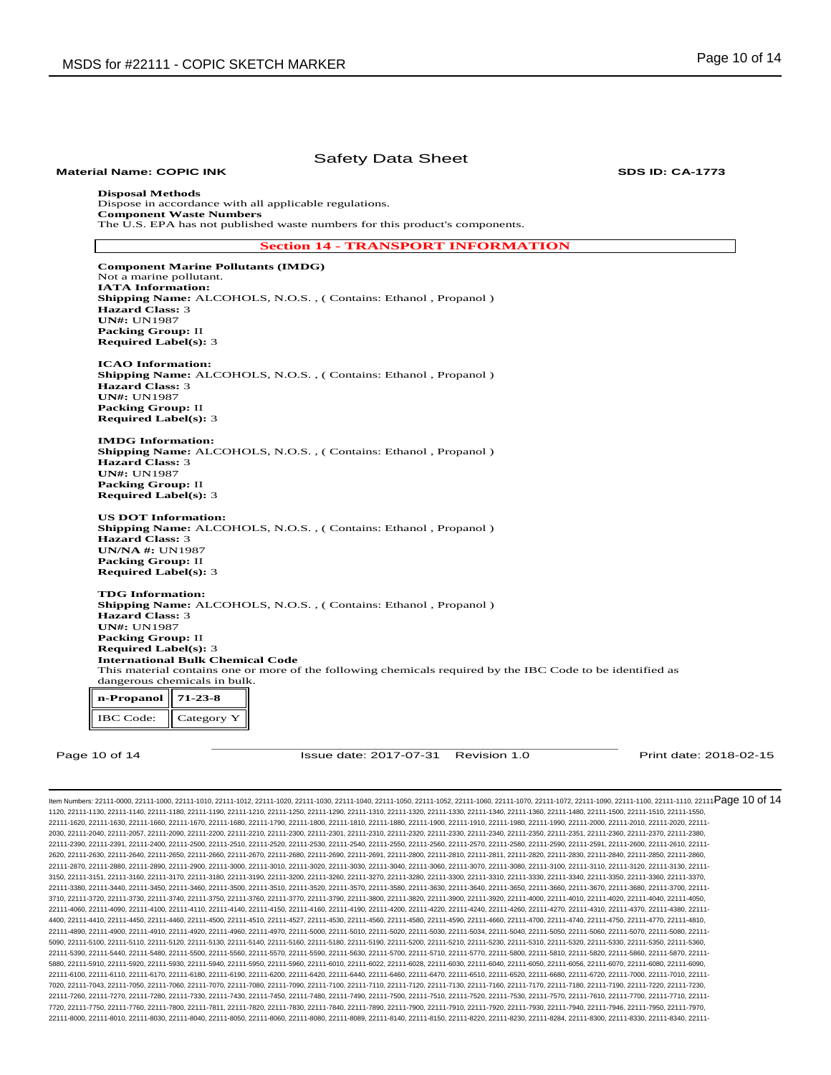| <b>Material Name: COPIC INK</b>                         | <b>Safety Data Sheet</b>                                                                                   | <b>SDS ID: CA-1773</b> |
|---------------------------------------------------------|------------------------------------------------------------------------------------------------------------|------------------------|
| <b>Disposal Methods</b>                                 |                                                                                                            |                        |
| Dispose in accordance with all applicable regulations.  |                                                                                                            |                        |
| <b>Component Waste Numbers</b>                          | The U.S. EPA has not published waste numbers for this product's components.                                |                        |
|                                                         |                                                                                                            |                        |
|                                                         | <b>Section 14 - TRANSPORT INFORMATION</b>                                                                  |                        |
| <b>Component Marine Pollutants (IMDG)</b>               |                                                                                                            |                        |
| Not a marine pollutant.<br><b>IATA</b> Information:     |                                                                                                            |                        |
|                                                         | Shipping Name: ALCOHOLS, N.O.S., (Contains: Ethanol, Propanol)                                             |                        |
| <b>Hazard Class: 3</b>                                  |                                                                                                            |                        |
| <b>UN#: UN1987</b>                                      |                                                                                                            |                        |
| <b>Packing Group: II</b>                                |                                                                                                            |                        |
| <b>Required Label(s): 3</b>                             |                                                                                                            |                        |
|                                                         |                                                                                                            |                        |
| <b>ICAO</b> Information:                                |                                                                                                            |                        |
|                                                         | Shipping Name: ALCOHOLS, N.O.S., (Contains: Ethanol, Propanol)                                             |                        |
| <b>Hazard Class: 3</b>                                  |                                                                                                            |                        |
| <b>UN#: UN1987</b>                                      |                                                                                                            |                        |
| <b>Packing Group: II</b><br><b>Required Label(s): 3</b> |                                                                                                            |                        |
|                                                         |                                                                                                            |                        |
| <b>IMDG</b> Information:                                |                                                                                                            |                        |
|                                                         | Shipping Name: ALCOHOLS, N.O.S., (Contains: Ethanol, Propanol)                                             |                        |
| <b>Hazard Class: 3</b>                                  |                                                                                                            |                        |
| <b>UN#: UN1987</b>                                      |                                                                                                            |                        |
| <b>Packing Group: II</b>                                |                                                                                                            |                        |
| <b>Required Label(s): 3</b>                             |                                                                                                            |                        |
| <b>US DOT Information:</b>                              |                                                                                                            |                        |
|                                                         | <b>Shipping Name:</b> ALCOHOLS, N.O.S., (Contains: Ethanol, Propanol)                                      |                        |
| <b>Hazard Class: 3</b>                                  |                                                                                                            |                        |
| <b>UN/NA #: UN1987</b>                                  |                                                                                                            |                        |
| <b>Packing Group: II</b>                                |                                                                                                            |                        |
| <b>Required Label(s): 3</b>                             |                                                                                                            |                        |
| <b>TDG</b> Information:                                 |                                                                                                            |                        |
|                                                         | <b>Shipping Name:</b> ALCOHOLS, N.O.S., (Contains: Ethanol, Propanol)                                      |                        |
| <b>Hazard Class: 3</b>                                  |                                                                                                            |                        |
| <b>UN#: UN1987</b>                                      |                                                                                                            |                        |
| <b>Packing Group: II</b>                                |                                                                                                            |                        |
| <b>Required Label(s): 3</b>                             |                                                                                                            |                        |
| <b>International Bulk Chemical Code</b>                 |                                                                                                            |                        |
|                                                         | This material contains one or more of the following chemicals required by the IBC Code to be identified as |                        |
| dangerous chemicals in bulk.                            |                                                                                                            |                        |
| n-Propanol<br>$71 - 23 - 8$                             |                                                                                                            |                        |
| <b>IBC</b> Code:<br>Category Y                          |                                                                                                            |                        |
|                                                         |                                                                                                            |                        |
|                                                         |                                                                                                            |                        |
| Page 10 of 14                                           | Issue date: 2017-07-31<br>Revision 1.0                                                                     | Print date: 2018-02-15 |
|                                                         |                                                                                                            |                        |

ltem Numbers: 22111-0000, 22111-1000, 22111-1010, 22111-1012, 22111-1020, 22111-1030, 22111-1040, 22111-1050, 22111-1050, 22111-1000, 22111-1000, 22111-1090, 22111-1000, 22111-1100, 22111-1100, 22111-100, 22111-100, 22111-1120, 22111-1130, 22111-1140, 22111-1180, 22111-1190, 22111-1210, 22111-1250, 22111-1290, 22111-1310, 22111-1320, 22111-1330, 22111-1340, 22111-1360, 22111-1480, 22111-1500, 22111-1510, 22111-1550, 22111-1620, 22111-1630, 22111-1660, 22111-1670, 22111-1680, 22111-1790, 22111-1800, 22111-1810, 22111-1880, 22111-1900, 22111-1910, 22111-1980, 22111-1990, 22111-2000, 22111-2010, 22111-2020, 22111- 2030, 22111-2040, 22111-2057, 22111-2090, 22111-2200, 22111-2210, 22111-2300, 22111-2301, 22111-2310, 22111-2320, 22111-2330, 22111-2340, 22111-2350, 22111-2351, 22111-2360, 22111-2370, 22111-2380, 22111-2390, 22111-2391, 22111-2400, 22111-2500, 22111-2510, 22111-2520, 22111-2530, 22111-2540, 22111-2550, 22111-2560, 22111-2570, 22111-2580, 22111-2590, 22111-2591, 22111-2600, 22111-2610, 22111- 2620, 22111-2630, 22111-2640, 22111-2650, 22111-2660, 22111-2670, 22111-2680, 22111-2690, 22111-2691, 22111-2800, 22111-2810, 22111-2811, 22111-2820, 22111-2830, 22111-2840, 22111-2850, 22111-2860, 22111-2870, 22111-2880, 22111-2890, 22111-2900, 22111-3000, 22111-3010, 22111-3020, 22111-3030, 22111-3040, 22111-3060, 22111-3070, 22111-3080, 22111-3100, 22111-3110, 22111-3120, 22111-3130, 22111- 3150, 22111-3151, 22111-3160, 22111-3170, 22111-3180, 22111-3190, 22111-3200, 22111-3260, 22111-3270, 22111-3280, 22111-3300, 22111-3310, 22111-3330, 22111-3340, 22111-3350, 22111-3360, 22111-3370, 22111-3380, 22111-3440, 22111-3450, 22111-3460, 22111-3500, 22111-3510, 22111-3520, 22111-3570, 22111-3580, 22111-3630, 22111-3640, 22111-3650, 22111-3660, 22111-3670, 22111-3680, 22111-3700, 22111- 3710, 22111-3720, 22111-3730, 22111-3740, 22111-3750, 22111-3760, 22111-3770, 22111-3790, 22111-3800, 22111-3820, 22111-3900, 22111-3920, 22111-4000, 22111-4010, 22111-4020, 22111-4040, 22111-4050, 22111-4060, 22111-4090, 22111-4100, 22111-4110, 22111-4140, 22111-4150, 22111-4160, 22111-4190, 22111-4200, 22111-4220, 22111-4240, 22111-4260, 22111-4270, 22111-4310, 22111-4370, 22111-4380, 22111- 4400, 22111-4410, 22111-4450, 22111-4460, 22111-4500, 22111-4510, 22111-4527, 22111-4530, 22111-4560, 22111-4580, 22111-4590, 22111-4660, 22111-4700, 22111-4740, 22111-4750, 22111-4770, 22111-4810, 22111-4890, 22111-4900, 22111-4910, 22111-4920, 22111-4960, 22111-4970, 22111-5000, 22111-5010, 22111-5020, 22111-5030, 22111-5034, 22111-5040, 22111-5050, 22111-5060, 22111-5070, 22111-5080, 22111- 5090, 22111-5100, 22111-5110, 22111-5120, 22111-5130, 22111-5140, 22111-5160, 22111-5180, 22111-5190, 22111-5200, 22111-5210, 22111-5230, 22111-5310, 22111-5320, 22111-5330, 22111-5350, 22111-5360, 22111-5390, 22111-5440, 22111-5480, 22111-5500, 22111-5560, 22111-5570, 22111-5590, 22111-5630, 22111-5700, 22111-5710, 22111-5770, 22111-5800, 22111-5810, 22111-5820, 22111-5860, 22111-5870, 22111- 5880, 22111-5910, 22111-5920, 22111-5930, 22111-5940, 22111-5950, 22111-5960, 22111-6010, 22111-6022, 22111-6028, 22111-6030, 22111-6040, 22111-6050, 22111-6056, 22111-6070, 22111-6080, 22111-6090, 22111-6100, 22111-6110, 22111-6170, 22111-6180, 22111-6190, 22111-6200, 22111-6420, 22111-6440, 22111-6460, 22111-6470, 22111-6410, 22111-6510, 22111-6520, 22111-6680, 22111-6720, 22111-670, 22111-7000, 22111-6720, 22111-67 7020, 22111-7043, 22111-7050, 22111-7060, 22111-7070, 22111-7080, 22111-7090, 22111-7100, 22111-7110, 22111-7120, 22111-7130, 22111-7160, 22111-7170, 22111-7180, 22111-7190, 22111-7220, 22111-7230, 22111-7260, 22111-7270, 22111-7280, 22111-7330, 22111-7430, 22111-7450, 22111-7450, 22111-7480, 22111-7400, 22111-7500, 22111-7500, 22111-7500, 22111-7530, 22111-7570, 22111-7510, 22111-7510, 22111-7710, 22111-7710, 22111-7 7720, 22111-7750, 22111-7760, 22111-7800, 22111-7811, 22111-7820, 22111-7830, 22111-7840, 22111-7890, 22111-7900, 22111-7910, 22111-7920, 22111-7930, 22111-7940, 22111-7946, 22111-7950, 22111-7970, 22111-8000, 22111-8010, 22111-8030, 22111-8040, 22111-8050, 22111-8060, 22111-8080, 22111-8089, 22111-8140, 22111-8150, 22111-8220, 22111-8230, 22111-8284, 22111-8300, 22111-8330, 22111-8340, 22111-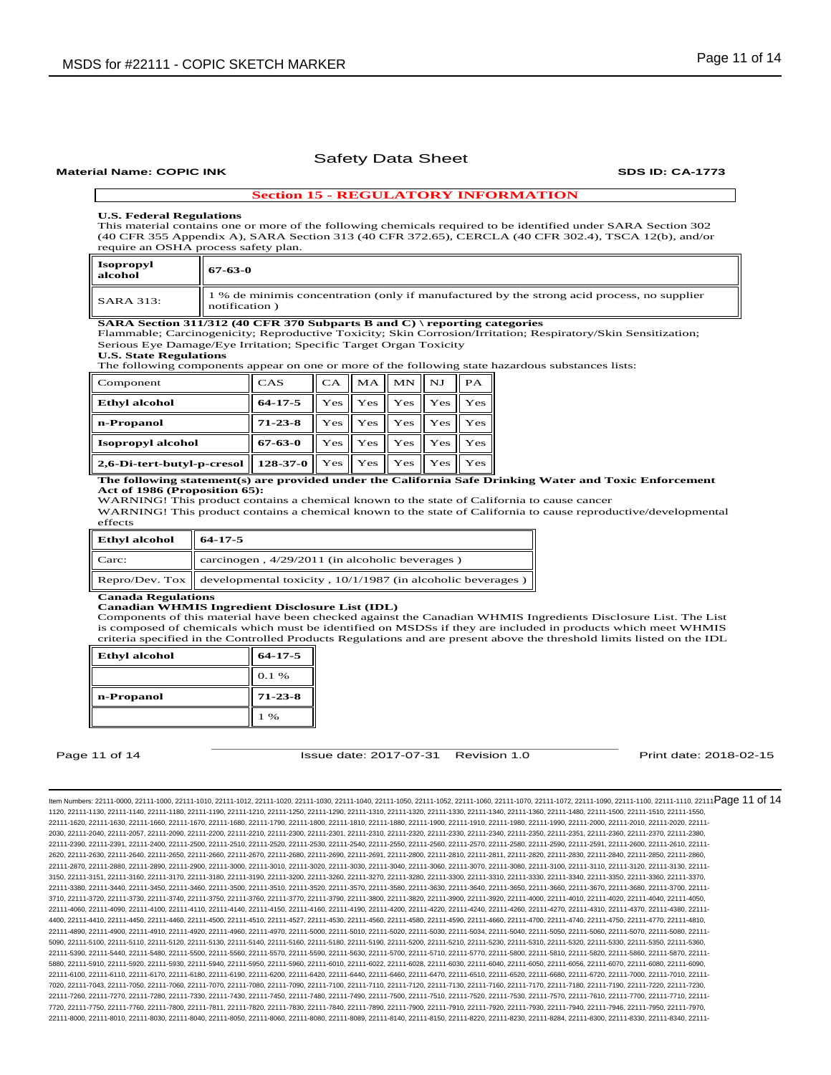#### **Material Name: COPIC INK SDS ID: CA-1773**

## **Section 15 - REGULATORY INFORMATION**

## **U.S. Federal Regulations**

This material contains one or more of the following chemicals required to be identified under SARA Section 302 (40 CFR 355 Appendix A), SARA Section 313 (40 CFR 372.65), CERCLA (40 CFR 302.4), TSCA 12(b), and/or require an OSHA process safety plan.

| Isopropyl<br>alcohol | 67-63-0                                                                                                     |
|----------------------|-------------------------------------------------------------------------------------------------------------|
| <b>SARA 313:</b>     | 1 % de minimis concentration (only if manufactured by the strong acid process, no supplier<br>notification) |

**SARA Section 311/312 (40 CFR 370 Subparts B and C) \ reporting categories** 

Flammable; Carcinogenicity; Reproductive Toxicity; Skin Corrosion/Irritation; Respiratory/Skin Sensitization; Serious Eye Damage/Eye Irritation; Specific Target Organ Toxicity

**U.S. State Regulations** 

The following components appear on one or more of the following state hazardous substances lists:

| Component                  | CAS           | CA  |                             | $MA$ $MN$                    | $_{\rm NJ}$ | PA  |
|----------------------------|---------------|-----|-----------------------------|------------------------------|-------------|-----|
| <b>Ethyl alcohol</b>       | $64 - 17 - 5$ |     |                             | $Yes \mid Yes \mid Yes \mid$ | Yes         | Yes |
| n-Propanol                 | $71 - 23 - 8$ |     | Yes Yes Yes                 |                              | Yes         | Yes |
| <b>Isopropyl alcohol</b>   | 67-63-0       |     |                             | $Yes \mid Yes \mid Yes \mid$ | Yes         | Yes |
| 2,6-Di-tert-butyl-p-cresol | $128-37-0$    | Yes | $\parallel$ Yes $\parallel$ | Yes                          | Yes         | Yes |

#### **The following statement(s) are provided under the California Safe Drinking Water and Toxic Enforcement Act of 1986 (Proposition 65):**

WARNING! This product contains a chemical known to the state of California to cause cancer

WARNING! This product contains a chemical known to the state of California to cause reproductive/developmental effects

| <b>Ethyl</b> alcohol | $64-17-5$                                                                             |  |
|----------------------|---------------------------------------------------------------------------------------|--|
| Carc:                | carcinogen, $4/29/2011$ (in alcoholic beverages)                                      |  |
|                      | Repro/Dev. Tox $\parallel$ developmental toxicity, 10/1/1987 (in alcoholic beverages) |  |

## **Canada Regulations**

**Canadian WHMIS Ingredient Disclosure List (IDL)** 

Components of this material have been checked against the Canadian WHMIS Ingredients Disclosure List. The List is composed of chemicals which must be identified on MSDSs if they are included in products which meet WHMIS criteria specified in the Controlled Products Regulations and are present above the threshold limits listed on the IDL

| <b>Ethyl alcohol</b> | $64 - 17 - 5$ |  |
|----------------------|---------------|--|
|                      | 0.1%          |  |
|                      |               |  |
| n-Propanol           | $71 - 23 - 8$ |  |

\_\_\_\_\_\_\_\_\_\_\_\_\_\_\_\_\_\_\_\_\_\_\_\_\_\_\_\_\_\_\_\_\_\_\_\_\_\_\_\_\_\_\_\_\_\_\_\_\_\_\_\_\_\_\_\_\_\_\_\_ Page 11 of 14 **ISSUE date: 2017-07-31** Revision 1.0 **Print date: 2018-02-15** Print date: 2018-02-15

ltem Numbers: 22111-0000, 22111-1000, 22111-1010, 22111-1012, 22111-1020, 22111-1030, 22111-1040, 22111-1050, 22111-1050, 22111-1000, 22111-1000, 22111-1090, 22111-1000, 22111-1100, 22111-1100, 22111-100, 22111-100, 22111-1120, 22111-1130, 22111-1140, 22111-1180, 22111-1190, 22111-1210, 22111-1250, 22111-1290, 22111-1310, 22111-1320, 22111-1330, 22111-1340, 22111-1360, 22111-1480, 22111-1500, 22111-1510, 22111-1550, 22111-1620, 22111-1630, 22111-1660, 22111-1670, 22111-1680, 22111-1790, 22111-1800, 22111-1810, 22111-1880, 22111-1900, 22111-1910, 22111-1980, 22111-1990, 22111-2000, 22111-2010, 22111-2020, 22111- 2030, 22111-2040, 22111-2057, 22111-2090, 22111-2200, 22111-2210, 22111-2300, 22111-2301, 22111-2310, 22111-2320, 22111-2330, 22111-2340, 22111-2350, 22111-2351, 22111-2360, 22111-2370, 22111-2380, 22111-2390, 22111-2391, 22111-2400, 22111-2500, 22111-2510, 22111-2520, 22111-2530, 22111-2540, 22111-2550, 22111-2560, 22111-2570, 22111-2580, 22111-2590, 22111-2591, 22111-2600, 22111-2610, 22111- 2620, 22111-2630, 22111-2640, 22111-2650, 22111-2660, 22111-2670, 22111-2680, 22111-2690, 22111-2691, 22111-2800, 22111-2810, 22111-2811, 22111-2820, 22111-2830, 22111-2840, 22111-2850, 22111-2860, 22111-2870, 22111-2880, 22111-2890, 22111-2900, 22111-3000, 22111-3010, 22111-3020, 22111-3030, 22111-3040, 22111-3060, 22111-3070, 22111-3080, 22111-3100, 22111-3110, 22111-3120, 22111-3130, 22111- 3150, 22111-3151, 22111-3160, 22111-3170, 22111-3180, 22111-3190, 22111-3200, 22111-3260, 22111-3270, 22111-3280, 22111-3300, 22111-3310, 22111-3330, 22111-3340, 22111-3350, 22111-3360, 22111-3370, 22111-3380, 22111-3440, 22111-3450, 22111-3460, 22111-3500, 22111-3510, 22111-3520, 22111-3570, 22111-3580, 22111-3630, 22111-3640, 22111-3650, 22111-3660, 22111-3670, 22111-3680, 22111-3700, 22111- 3710, 22111-3720, 22111-3730, 22111-3740, 22111-3750, 22111-3760, 22111-3770, 22111-3790, 22111-3800, 22111-3820, 22111-3900, 22111-3920, 22111-4000, 22111-4010, 22111-4020, 22111-4040, 22111-4050, 22111-4060, 22111-4090, 22111-4100, 22111-4110, 22111-4140, 22111-4150, 22111-4160, 22111-4190, 22111-4200, 22111-4220, 22111-4240, 22111-4260, 22111-4270, 22111-4310, 22111-4370, 22111-4380, 22111- 4400, 22111-4410, 22111-4450, 22111-4460, 22111-4500, 22111-4510, 22111-4527, 22111-4530, 22111-4560, 22111-4580, 22111-4590, 22111-4660, 22111-4700, 22111-4740, 22111-4750, 22111-4770, 22111-4810, 22111-4890, 22111-4900, 22111-4910, 22111-4920, 22111-4960, 22111-4970, 22111-5000, 22111-5010, 22111-5020, 22111-5030, 22111-5034, 22111-5040, 22111-5050, 22111-5060, 22111-5070, 22111-5080, 22111- 5090, 22111-5100, 22111-5110, 22111-5120, 22111-5130, 22111-5140, 22111-5160, 22111-5180, 22111-5190, 22111-5200, 22111-5210, 22111-5230, 22111-5300, 22111-5320, 22111-5330, 22111-5350, 22111-5360, 22111-5350, 22111-5360, 2 22111-5390, 22111-5440, 22111-5480, 22111-5500, 22111-5560, 22111-5570, 22111-5590, 22111-5630, 22111-5700, 22111-5710, 22111-5770, 22111-5800, 22111-5810, 22111-5820, 22111-5860, 22111-5870, 22111- 5880, 22111-5910, 22111-5920, 22111-5930, 22111-5940, 22111-5950, 22111-5960, 22111-6010, 22111-6022, 22111-6028, 22111-6030, 22111-6040, 22111-6050, 22111-6056, 22111-6070, 22111-6080, 22111-6090, 22111-6100, 22111-6110, 22111-6170, 22111-6180, 22111-6190, 22111-6200, 22111-6420, 22111-6400, 22111-6460, 22111-6470, 22111-6450, 22111-6520, 22111-6520, 22111-6720, 22111-6720, 22111-7010, 22111-7000, 22111-6720, 22111-6 7020, 22111-7043, 22111-7050, 22111-7060, 22111-7070, 22111-7080, 22111-7090, 22111-7100, 22111-7110, 22111-7120, 22111-7130, 22111-7160, 22111-7170, 22111-7180, 22111-7190, 22111-7220, 22111-7230, 22111-7260, 22111-7270, 22111-7280, 22111-7330, 22111-7430, 22111-7450, 22111-7480, 22111-7490, 22111-7500, 22111-7510, 22111-7520, 22111-7530, 22111-7570, 22111-7610, 22111-7700, 22111-7710, 22111- 7720, 22111-7750, 22111-7760, 22111-7800, 22111-7811, 22111-7820, 22111-7830, 22111-7840, 22111-7890, 22111-7900, 22111-7910, 22111-7920, 22111-7930, 22111-7940, 22111-7946, 22111-7950, 22111-7970, 22111-8000, 22111-8010, 22111-8030, 22111-8040, 22111-8050, 22111-8060, 22111-8080, 22111-8089, 22111-8140, 22111-8150, 22111-8220, 22111-8230, 22111-8284, 22111-8300, 22111-8330, 22111-8340, 22111-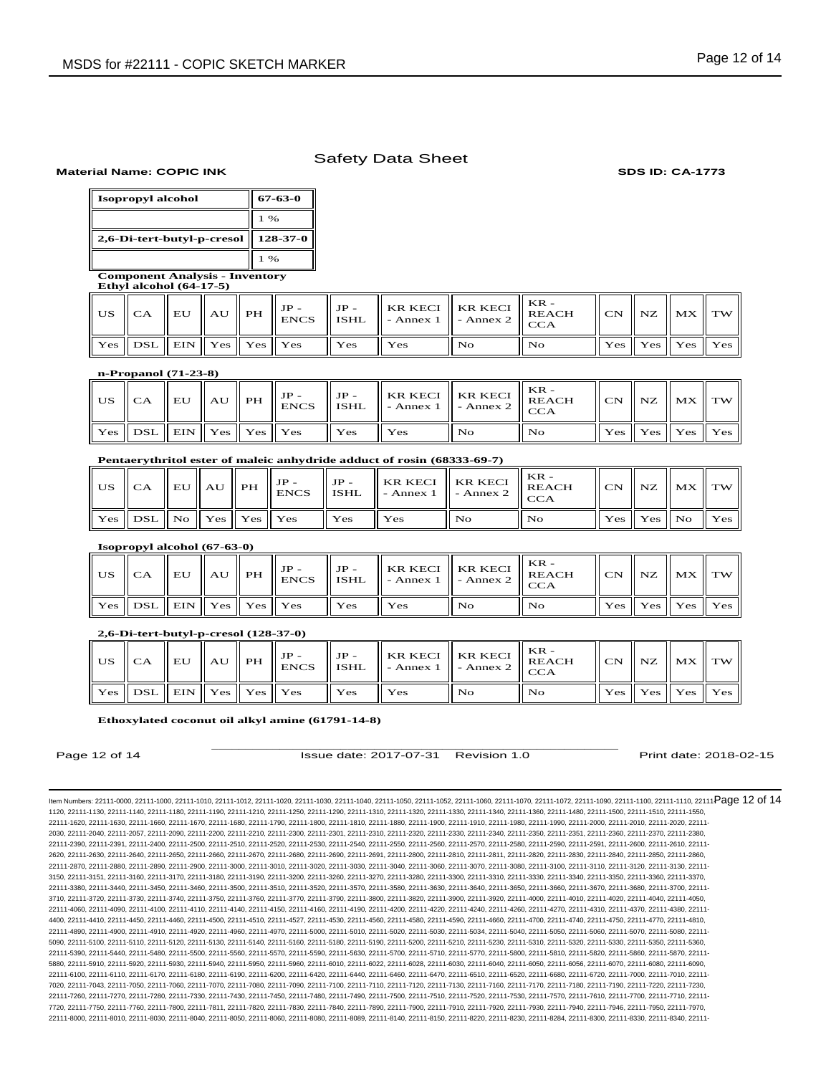## **Material Name: COPIC INK SDS ID: CA-1773**

| Isopropyl alcohol          | 67-63-0         |
|----------------------------|-----------------|
|                            | $1\%$           |
| 2,6-Di-tert-butyl-p-cresol | $128 - 37 - 0$  |
|                            | $1 \frac{6}{6}$ |

**Component Analysis - Inventory Ethyl alcohol (64-17-5)**

|                                        |  |  |        | US $\ \text{CA}\ $ EU $\ $ AU $\ $ PH $\ $ $\text{ENCS}\ $ is<br>HL $\ \text{SME}\ $ - Annex 1 $\ \text{-}\text{Ampx 2}\ $ $\text{ENCA}$ |     | - $\ $ KR KECI $\ $ KR KECI $\ $ REACH $\ $ |  | $\ $ CN $\ $ NZ $\ $ MX $\ $ TW $\ $                    |  |
|----------------------------------------|--|--|--------|------------------------------------------------------------------------------------------------------------------------------------------|-----|---------------------------------------------|--|---------------------------------------------------------|--|
| Yes    DSL    EIN    Yes    Yes    Yes |  |  | ll Yes | $\overline{\mathbf{Y}}$ es                                                                                                               | No. | No                                          |  | $\vert$ Yes $\vert$ Yes $\vert$ Yes $\vert$ Yes $\vert$ |  |

# **n-Propanol (71-23-8)**

|                                        |  |  |         |     |    | $US \parallel \overline{\text{CA}} \parallel \text{EU} \parallel \text{AU} \parallel \text{PH} \parallel \text{IP-} \parallel \text{ISHL} \parallel \text{KR KECI} \parallel \text{KR KECI} \parallel \text{KR KECI} \parallel \text{KEACH} \parallel \text{KEACH} \parallel \text{V} \parallel \text{V} \parallel \text{V} \parallel \text{V} \parallel \text{V} \parallel \text{V} \parallel \text{V} \parallel \text{V} \parallel \text{V} \parallel \text{V} \parallel \text{V} \parallel \text{V} \parallel \text{V} \parallel \text{V} \parallel \text{V} \parallel \text{V} \parallel \text{V} \parallel$ |  | $\vert$ CN $\vert$ NZ $\vert$ MX $\vert$ TW $\vert$                         |  |
|----------------------------------------|--|--|---------|-----|----|------------------------------------------------------------------------------------------------------------------------------------------------------------------------------------------------------------------------------------------------------------------------------------------------------------------------------------------------------------------------------------------------------------------------------------------------------------------------------------------------------------------------------------------------------------------------------------------------------------------|--|-----------------------------------------------------------------------------|--|
| Yes    DSL    EIN    Yes    Yes    Yes |  |  | ll Yes- | Yes | No | No.                                                                                                                                                                                                                                                                                                                                                                                                                                                                                                                                                                                                              |  | $\parallel$ Yes $\parallel$ Yes $\parallel$ Yes $\parallel$ Yes $\parallel$ |  |

## **Pentaerythritol ester of maleic anhydride adduct of rosin (68333-69-7)**

|                                       |  |  |                  |        |    | <b>KR</b> -<br>$\  \text{JP} - \ $ KR KECI $\ $ KR KECI $\ $ REACH<br>US $\ $ CA $\ $ EU $\ $ AU $\ $ PH $\ $ JP- $\ $ JP- $\ $ KR KECI $\ $ Annex 2 $\ $ REACH |  | $\ $ CN $\ $ NZ $\ $ MX $\ $ TW $\ $ |  |
|---------------------------------------|--|--|------------------|--------|----|-----------------------------------------------------------------------------------------------------------------------------------------------------------------|--|--------------------------------------|--|
| Yes    DSL    No    Yes    Yes    Yes |  |  | $\mathbf{I}$ Yes | ll Yes | No | l No                                                                                                                                                            |  | Yes    Yes    No    Yes              |  |

**Isopropyl alcohol (67-63-0)**

|                                        |  |  |                  | $\mathbb{R}$ KR KECI KR KECI REACH<br>US $\ \text{CA}\ $ EU $\ $ AU $\ $ PH $\ $ $^{15}$ CNCS $\ $ ISHL $\ $ - Annex 1 $\ $ - Annex 2 $\ $ CCA |     |     |  | $\ $ CN $\ $ NZ $\ $ MX $\ $ TW $\ $                                        |  |
|----------------------------------------|--|--|------------------|------------------------------------------------------------------------------------------------------------------------------------------------|-----|-----|--|-----------------------------------------------------------------------------|--|
| Yes    DSL    EIN    Yes    Yes    Yes |  |  | $\mathbf{I}$ Yes | ll Yes                                                                                                                                         | No. | No. |  | $\parallel$ Yes $\parallel$ Yes $\parallel$ Yes $\parallel$ Yes $\parallel$ |  |

**2,6-Di-tert-butyl-p-cresol (128-37-0)**

|                                        |  |  |     |     |                | $\parallel$ FR KECI    KR KECI    KR KECI    $\parallel$ KEACH   <br>$_{4}$ US $\ $ CA $\ $ EU $\ $ AU $\ $ PH $\ $ JP- $_{\text{ENCS}}$ $\ $ JP- $_{\text{ISHL}}$ $\ $ KR KECI $\ $ - Annex 2 $\ $ REACH |  | $\ $ CN $\ $ NZ $\ $ MX $\ $ TW $\ $                        |  |
|----------------------------------------|--|--|-----|-----|----------------|-----------------------------------------------------------------------------------------------------------------------------------------------------------------------------------------------------------|--|-------------------------------------------------------------|--|
| Yes    DSL    EIN    Yes    Yes    Yes |  |  | Yes | Yes | N <sub>O</sub> | No.                                                                                                                                                                                                       |  | $\parallel$ Yes $\parallel$ Yes $\parallel$ Yes $\parallel$ |  |

## **Ethoxylated coconut oil alkyl amine (61791-14-8)**

\_\_\_\_\_\_\_\_\_\_\_\_\_\_\_\_\_\_\_\_\_\_\_\_\_\_\_\_\_\_\_\_\_\_\_\_\_\_\_\_\_\_\_\_\_\_\_\_\_\_\_\_\_\_\_\_\_\_\_\_ Page 12 of 14 **ISSue date: 2017-07-31** Revision 1.0 **Print date: 2018-02-15** Print date: 2018-02-15

ltem Numbers: 22111-0000, 22111-1000, 22111-1010, 22111-1012, 22111-1020, 22111-1030, 22111-1040, 22111-1050, 22111-1050, 22111-1000, 22111-1000, 22111-1090, 22111-1000, 22111-1100, 22111-1100, 22111-100, 22111-100, 22111-1120, 22111-1130, 22111-1140, 22111-1180, 22111-1190, 22111-1210, 22111-1250, 22111-1290, 22111-1310, 22111-1320, 22111-1330, 22111-1340, 22111-1360, 22111-1480, 22111-1500, 22111-1510, 22111-1550, 22111-1620, 22111-1630, 22111-1660, 22111-1670, 22111-1680, 22111-1790, 22111-1800, 22111-1810, 22111-1880, 22111-1900, 22111-1910, 22111-1980, 22111-1990, 22111-2000, 22111-2010, 22111-2020, 22111- 2030, 22111-2040, 22111-2057, 22111-2090, 22111-2200, 22111-2210, 22111-2300, 22111-2301, 22111-2310, 22111-2320, 22111-2330, 22111-2340, 22111-2350, 22111-2351, 22111-2360, 22111-2370, 22111-2380, 22111-2390, 22111-2391, 22111-2400, 22111-2500, 22111-2510, 22111-2520, 22111-2530, 22111-2540, 22111-2550, 22111-2560, 22111-2570, 22111-2580, 22111-2590, 22111-2591, 22111-2600, 22111-2610, 22111- 2620, 22111-2630, 22111-2640, 22111-2650, 22111-2660, 22111-2670, 22111-2680, 22111-2690, 22111-2691, 22111-2800, 22111-2810, 22111-2811, 22111-2820, 22111-2830, 22111-2840, 22111-2850, 22111-2860, 22111-2870, 22111-2880, 22111-2890, 22111-2900, 22111-3000, 22111-3010, 22111-3020, 22111-3030, 22111-3040, 22111-3060, 22111-3070, 22111-3080, 22111-3100, 22111-3110, 22111-3120, 22111-3130, 22111- 3150, 22111-3151, 22111-3160, 22111-3170, 22111-3180, 22111-3190, 22111-3200, 22111-3260, 22111-3270, 22111-3280, 22111-3300, 22111-3310, 22111-3330, 22111-3340, 22111-3350, 22111-3360, 22111-3370, 22111-3380, 22111-3440, 22111-3450, 22111-3460, 22111-3500, 22111-3510, 22111-3520, 22111-3570, 22111-3580, 22111-3630, 22111-3640, 22111-3650, 22111-3660, 22111-3670, 22111-3680, 22111-3700, 22111- 3710, 22111-3720, 22111-3730, 22111-3740, 22111-3750, 22111-3760, 22111-3770, 22111-3790, 22111-3800, 22111-3820, 22111-3900, 22111-3920, 22111-4000, 22111-4010, 22111-4020, 22111-4040, 22111-4050, 22111-4060, 22111-4090, 22111-4100, 22111-4110, 22111-4140, 22111-4150, 22111-4160, 22111-4190, 22111-4200, 22111-4220, 22111-4240, 22111-4260, 22111-4270, 22111-4310, 22111-4370, 22111-4380, 22111- 4400, 22111-4410, 22111-4450, 22111-4460, 22111-4500, 22111-4510, 22111-4527, 22111-4530, 22111-4560, 22111-4580, 22111-4590, 22111-4660, 22111-4700, 22111-4740, 22111-4750, 22111-4770, 22111-4810, 22111-4890, 22111-4900, 22111-4910, 22111-4920, 22111-4960, 22111-4970, 22111-5000, 22111-5010, 22111-5020, 22111-5030, 22111-5034, 22111-5040, 22111-5050, 22111-5060, 22111-5070, 22111-5080, 22111- 5090, 22111-5100, 22111-5110, 22111-5120, 22111-5130, 22111-5140, 22111-5160, 22111-5180, 22111-5190, 22111-5200, 22111-5210, 22111-5230, 22111-5310, 22111-5320, 22111-5330, 22111-5350, 22111-5360, 22111-5390, 22111-5440, 22111-5480, 22111-5500, 22111-5560, 22111-5570, 22111-5590, 22111-5630, 22111-5700, 22111-5710, 22111-5770, 22111-5800, 22111-5810, 22111-5820, 22111-5860, 22111-5870, 22111- 5880, 22111-5910, 22111-5920, 22111-5930, 22111-5940, 22111-5950, 22111-5060, 22111-6021, 22111-6022, 22111-6028, 22111-6030, 22111-6040, 22111-6050, 22111-6056, 22111-6056, 22111-6070, 22111-6080, 22111-6090, 22111-6100, 22111-6110, 22111-6170, 22111-6180, 22111-6190, 22111-6200, 22111-6420, 22111-6400, 22111-6460, 22111-6470, 22111-6450, 22111-6520, 22111-6520, 22111-6720, 22111-6720, 22111-7010, 22111-7000, 22111-6720, 22111-6 7020, 22111-7043, 22111-7050, 22111-7060, 22111-7070, 22111-7080, 22111-7090, 22111-7100, 22111-7110, 22111-7120, 22111-7130, 22111-7160, 22111-7170, 22111-7180, 22111-7190, 22111-7220, 22111-7230, 22111-7260, 22111-7270, 22111-7280, 22111-7330, 22111-7430, 22111-7450, 22111-7480, 22111-7490, 22111-7500, 22111-7510, 22111-7520, 22111-7530, 22111-7570, 22111-7610, 22111-7700, 22111-7710, 22111- 7720, 22111-7750, 22111-7760, 22111-7800, 22111-7811, 22111-7820, 22111-7830, 22111-7840, 22111-7890, 22111-7900, 22111-7910, 22111-7920, 22111-7930, 22111-7940, 22111-7946, 22111-7950, 22111-7970, 22111-8000, 22111-8010, 22111-8030, 22111-8040, 22111-8050, 22111-8060, 22111-8080, 22111-8089, 22111-8140, 22111-8150, 22111-8220, 22111-8230, 22111-8284, 22111-8300, 22111-8330, 22111-8340, 22111-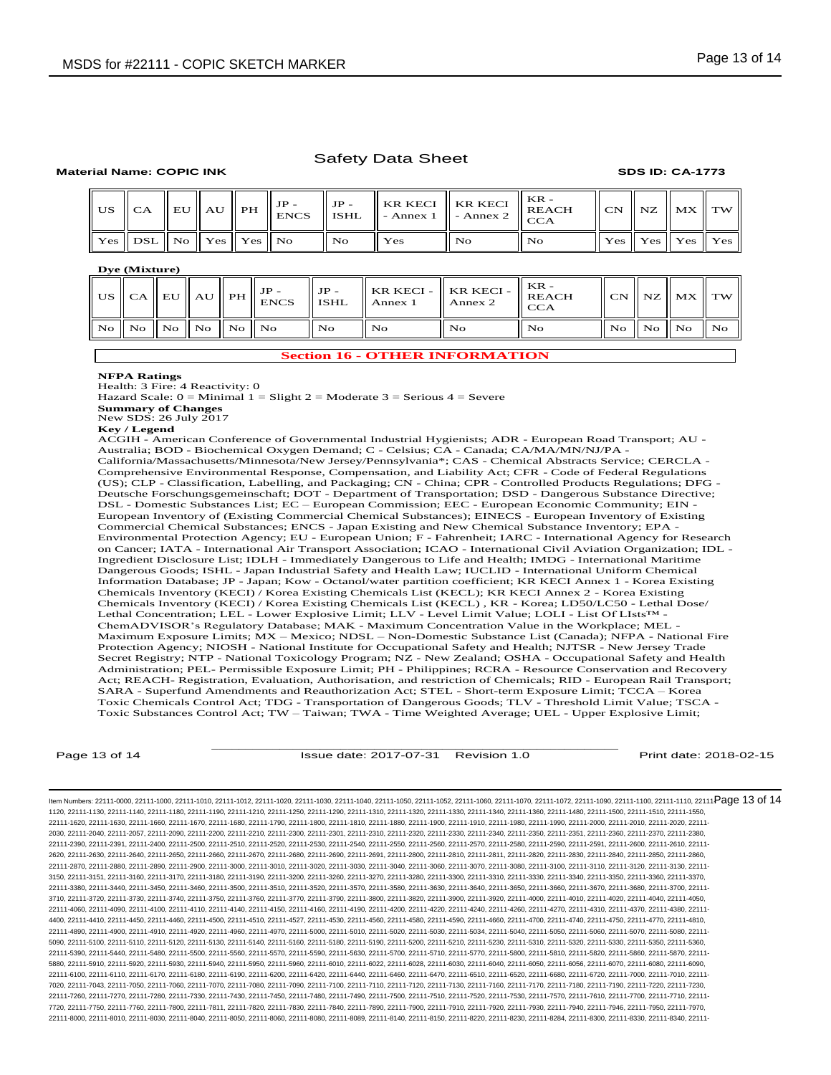## **Material Name: COPIC INK SDS ID: CA-1773**

|                                      |  |  |       |                 |      | $\begin{array}{c} \begin{array}{c} \begin{array}{c} \end{array} \\ \begin{array}{c} \end{array} \\ \end{array} \end{array}$ |  | $\ $ CN $\ $ NZ $\ $ MX $\ $ TW $\ $                        |  |
|--------------------------------------|--|--|-------|-----------------|------|-----------------------------------------------------------------------------------------------------------------------------|--|-------------------------------------------------------------|--|
| Yes    DSL    No    Yes    Yes    No |  |  | ll No | $\parallel$ Yes | l No | $\mathbf{N}\mathbf{o}$                                                                                                      |  | $\parallel$ Yes $\parallel$ Yes $\parallel$ Yes $\parallel$ |  |

## **Dye (Mixture)**

|                                                                                                                      |  | US $\ $ CA $\ $ EU $\ $ AU $\ $ PH $\ $ IP - | $\parallel$ JP -<br>$\parallel$ ISHL | $\parallel$ KR KECI - $\parallel$ KR KECI - $\parallel$ KEACH<br>Annex 1 | Annex 2 | KR -<br><b>CCA</b> |                | CN    NZ    MX    TW |              |
|----------------------------------------------------------------------------------------------------------------------|--|----------------------------------------------|--------------------------------------|--------------------------------------------------------------------------|---------|--------------------|----------------|----------------------|--------------|
| $\overline{N}$ o    $\overline{N}$ o    $\overline{N}$ o    $\overline{N}$ o    $\overline{N}$ o    $\overline{N}$ o |  |                                              | $N_{\Omega}$                         | l No                                                                     | Nο      | l No               | No    No    No |                      | $\mathbf{N}$ |

## **Section 16 - OTHER INFORMATION**

## **NFPA Ratings**

Health: 3 Fire: 4 Reactivity: 0

Hazard Scale:  $0 =$  Minimal  $1 =$  Slight  $2 =$  Moderate  $3 =$  Serious  $4 =$  Severe

**Summary of Changes** New SDS: 26 July 2017

**Key / Legend** ACGIH - American Conference of Governmental Industrial Hygienists; ADR - European Road Transport; AU - Australia; BOD - Biochemical Oxygen Demand; C - Celsius; CA - Canada; CA/MA/MN/NJ/PA - California/Massachusetts/Minnesota/New Jersey/Pennsylvania\*; CAS - Chemical Abstracts Service; CERCLA - Comprehensive Environmental Response, Compensation, and Liability Act; CFR - Code of Federal Regulations (US); CLP - Classification, Labelling, and Packaging; CN - China; CPR - Controlled Products Regulations; DFG - Deutsche Forschungsgemeinschaft; DOT - Department of Transportation; DSD - Dangerous Substance Directive; DSL - Domestic Substances List; EC – European Commission; EEC - European Economic Community; EIN - European Inventory of (Existing Commercial Chemical Substances); EINECS - European Inventory of Existing Commercial Chemical Substances; ENCS - Japan Existing and New Chemical Substance Inventory; EPA - Environmental Protection Agency; EU - European Union; F - Fahrenheit; IARC - International Agency for Research on Cancer; IATA - International Air Transport Association; ICAO - International Civil Aviation Organization; IDL - Ingredient Disclosure List; IDLH - Immediately Dangerous to Life and Health; IMDG - International Maritime Dangerous Goods; ISHL - Japan Industrial Safety and Health Law; IUCLID - International Uniform Chemical Information Database; JP - Japan; Kow - Octanol/water partition coefficient; KR KECI Annex 1 - Korea Existing Chemicals Inventory (KECI) / Korea Existing Chemicals List (KECL); KR KECI Annex 2 - Korea Existing Chemicals Inventory (KECI) / Korea Existing Chemicals List (KECL) , KR - Korea; LD50/LC50 - Lethal Dose/ Lethal Concentration; LEL - Lower Explosive Limit; LLV - Level Limit Value; LOLI - List Of LIsts™ - ChemADVISOR's Regulatory Database; MAK - Maximum Concentration Value in the Workplace; MEL - Maximum Exposure Limits; MX – Mexico; NDSL – Non-Domestic Substance List (Canada); NFPA - National Fire Protection Agency; NIOSH - National Institute for Occupational Safety and Health; NJTSR - New Jersey Trade Secret Registry; NTP - National Toxicology Program; NZ - New Zealand; OSHA - Occupational Safety and Health Administration; PEL- Permissible Exposure Limit; PH - Philippines; RCRA - Resource Conservation and Recovery

Act; REACH- Registration, Evaluation, Authorisation, and restriction of Chemicals; RID - European Rail Transport; SARA - Superfund Amendments and Reauthorization Act; STEL - Short-term Exposure Limit; TCCA – Korea Toxic Chemicals Control Act; TDG - Transportation of Dangerous Goods; TLV - Threshold Limit Value; TSCA - Toxic Substances Control Act; TW – Taiwan; TWA - Time Weighted Average; UEL - Upper Explosive Limit;

\_\_\_\_\_\_\_\_\_\_\_\_\_\_\_\_\_\_\_\_\_\_\_\_\_\_\_\_\_\_\_\_\_\_\_\_\_\_\_\_\_\_\_\_\_\_\_\_\_\_\_\_\_\_\_\_\_\_\_\_ Page 13 of 14 **ISSue date: 2017-07-31** Revision 1.0 **Print date: 2018-02-15** Print date: 2018-02-15

ltem Numbers: 22111-0000, 22111-1000, 22111-1010, 22111-1012, 22111-1020, 22111-1030, 22111-1040, 22111-1050, 22111-1050, 22111-1000, 22111-1000, 22111-1090, 22111-1000, 22111-1100, 22111-1100, 22111-100, 22111-100, 22111-1120, 22111-1130, 22111-1140, 22111-1180, 22111-1190, 22111-1210, 22111-1250, 22111-1290, 22111-1310, 22111-1320, 22111-1330, 22111-1340, 22111-1360, 22111-1480, 22111-1500, 22111-1510, 22111-1550, 22111-1620, 22111-1630, 22111-1660, 22111-1670, 22111-1680, 22111-1790, 22111-1800, 22111-1810, 22111-1880, 22111-1900, 22111-1910, 22111-1980, 22111-1990, 22111-2000, 22111-2010, 22111-2020, 22111- 2030, 22111-2040, 22111-2057, 22111-2090, 22111-2200, 22111-2210, 22111-2300, 22111-2301, 22111-2310, 22111-2320, 22111-2330, 22111-2340, 22111-2350, 22111-2351, 22111-2360, 22111-2370, 22111-2380, 22111-2390, 22111-2391, 22111-2400, 22111-2500, 22111-2510, 22111-2520, 22111-2530, 22111-2540, 22111-2550, 22111-2560, 22111-2570, 22111-2580, 22111-2590, 22111-2591, 22111-2600, 22111-2610, 22111- 2620, 22111-2630, 22111-2640, 22111-2650, 22111-2660, 22111-2670, 22111-2680, 22111-2690, 22111-2691, 22111-2800, 22111-2810, 22111-2811, 22111-2820, 22111-2830, 22111-2840, 22111-2850, 22111-2860, 22111-2870, 22111-2880, 22111-2890, 22111-2900, 22111-3000, 22111-3010, 22111-3020, 22111-3030, 22111-3040, 22111-3060, 22111-3070, 22111-3080, 22111-3100, 22111-3110, 22111-3120, 22111-3130, 22111- 3150, 22111-3151, 22111-3160, 22111-3170, 22111-3180, 22111-3190, 22111-3200, 22111-3260, 22111-3270, 22111-3280, 22111-3300, 22111-3310, 22111-3330, 22111-3340, 22111-3350, 22111-3360, 22111-3370, 22111-3380, 22111-3440, 22111-3450, 22111-3460, 22111-3500, 22111-3510, 22111-3520, 22111-3570, 22111-3580, 22111-3630, 22111-3640, 22111-3650, 22111-3660, 22111-3670, 22111-3680, 22111-3700, 22111- 3710, 22111-3720, 22111-3730, 22111-3740, 22111-3750, 22111-3760, 22111-3770, 22111-3790, 22111-3800, 22111-3820, 22111-3900, 22111-3920, 22111-4000, 22111-4010, 22111-4020, 22111-4040, 22111-4050, 22111-4060, 22111-4090, 22111-4100, 22111-4110, 22111-4140, 22111-4150, 22111-4160, 22111-4190, 22111-4200, 22111-4220, 22111-4240, 22111-4260, 22111-4270, 22111-4310, 22111-4370, 22111-4380, 22111- 4400, 22111-4410, 22111-4450, 22111-4460, 22111-4500, 22111-4510, 22111-4527, 22111-4530, 22111-4560, 22111-4580, 22111-4590, 22111-4660, 22111-4700, 22111-4740, 22111-4750, 22111-4770, 22111-4810, 22111-4890, 22111-4900, 22111-4910, 22111-4920, 22111-4960, 22111-4970, 22111-5000, 22111-5010, 22111-5020, 22111-5030, 22111-5034, 22111-5040, 22111-5050, 22111-5060, 22111-5070, 22111-5080, 22111- 5090, 22111-5100, 22111-5110, 22111-5120, 22111-5130, 22111-5140, 22111-5160, 22111-5180, 22111-5180, 22111-5200, 22111-5210, 22111-5230, 22111-5330, 22111-5330, 22111-5330, 22111-5330, 22111-5330, 22111-5380, 22111-5380, 2 22111-5390, 22111-5440, 22111-5480, 22111-5500, 22111-5560, 22111-5570, 22111-5590, 22111-5630, 22111-5700, 22111-5710, 22111-5770, 22111-5800, 22111-5810, 22111-5820, 22111-5860, 22111-5870, 22111- 5880, 22111-5910, 22111-5920, 22111-5930, 22111-5940, 22111-5950, 22111-5960, 22111-6010, 22111-6022, 22111-6028, 22111-6030, 22111-6040, 22111-6050, 22111-6056, 22111-6070, 22111-6080, 22111-6090, 22111-6100, 22111-6110, 22111-6170, 22111-6180, 22111-6190, 22111-6200, 22111-6420, 22111-6440, 22111-6460, 22111-6470, 22111-6510, 22111-6520, 22111-6680, 22111-6720, 22111-7000, 22111-7010, 22111- 7020, 22111-7043, 22111-7050, 22111-7060, 22111-7070, 22111-7080, 22111-7090, 22111-7100, 22111-7110, 22111-7120, 22111-7130, 22111-7160, 22111-7170, 22111-7180, 22111-7190, 22111-7220, 22111-7230, 22111-7260, 22111-7270, 22111-7280, 22111-7330, 22111-7430, 22111-7450, 22111-7480, 22111-7490, 22111-7500, 22111-7510, 22111-7520, 22111-7530, 22111-7570, 22111-7610, 22111-7700, 22111-7710, 22111- 7720, 22111-7750, 22111-7760, 22111-7800, 22111-7811, 22111-7820, 22111-7830, 22111-7840, 22111-7890, 22111-7900, 22111-7910, 22111-7920, 22111-7930, 22111-7940, 22111-7946, 22111-7950, 22111-7970, 22111-8000, 22111-8010, 22111-8030, 22111-8040, 22111-8050, 22111-8060, 22111-8080, 22111-8089, 22111-8140, 22111-8150, 22111-8220, 22111-8230, 22111-8284, 22111-8300, 22111-8330, 22111-8340, 22111-